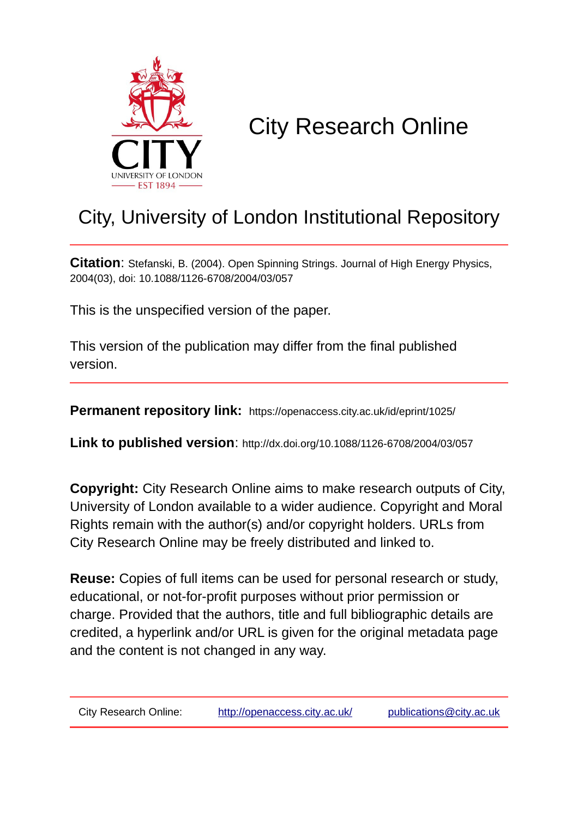

# City Research Online

# City, University of London Institutional Repository

**Citation**: Stefanski, B. (2004). Open Spinning Strings. Journal of High Energy Physics, 2004(03), doi: 10.1088/1126-6708/2004/03/057

This is the unspecified version of the paper.

This version of the publication may differ from the final published version.

**Permanent repository link:** https://openaccess.city.ac.uk/id/eprint/1025/

**Link to published version**: http://dx.doi.org/10.1088/1126-6708/2004/03/057

**Copyright:** City Research Online aims to make research outputs of City, University of London available to a wider audience. Copyright and Moral Rights remain with the author(s) and/or copyright holders. URLs from City Research Online may be freely distributed and linked to.

**Reuse:** Copies of full items can be used for personal research or study, educational, or not-for-profit purposes without prior permission or charge. Provided that the authors, title and full bibliographic details are credited, a hyperlink and/or URL is given for the original metadata page and the content is not changed in any way.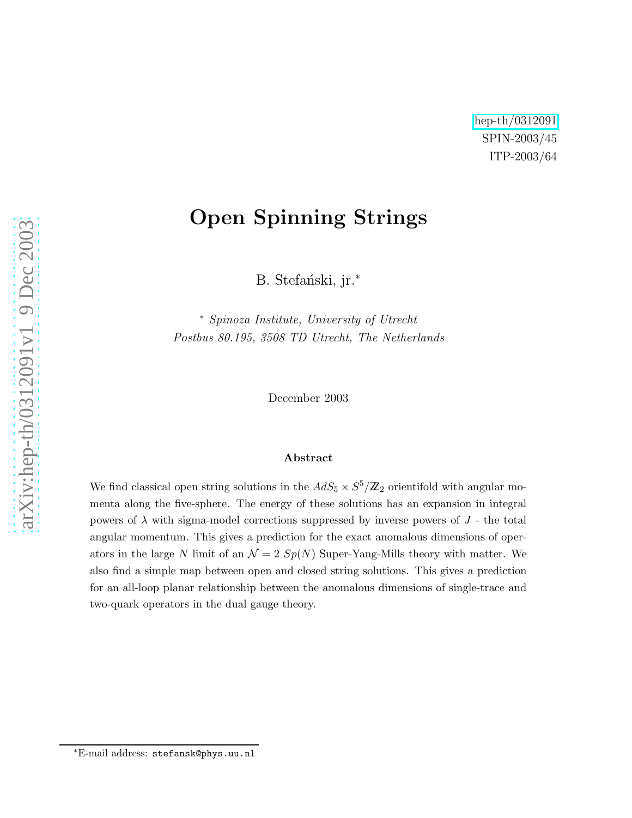## Open Spinning Strings

B. Stefański, jr.<sup>\*</sup>

<sup>∗</sup> *Spinoza Institute, University of Utrecht Postbus 80.195, 3508 TD Utrecht, The Netherlands*

December 2003

#### Abstract

We find classical open string solutions in the  $AdS_5 \times S^5/\mathbb{Z}_2$  orientifold with angular momenta along the five-sphere. The energy of these solutions has an expansion in integral powers of  $\lambda$  with sigma-model corrections suppressed by inverse powers of  $J$  - the total angular momentum. This gives a prediction for the exact anomalous dimensions of operators in the large N limit of an  $\mathcal{N} = 2 Sp(N)$  Super-Yang-Mills theory with matter. We also find a simple map between open and closed string solutions. This gives a prediction for an all-loop planar relationship between the anomalous dimensions of single-trace and two-quark operators in the dual gauge theory.

<sup>∗</sup>E-mail address: stefansk@phys.uu.nl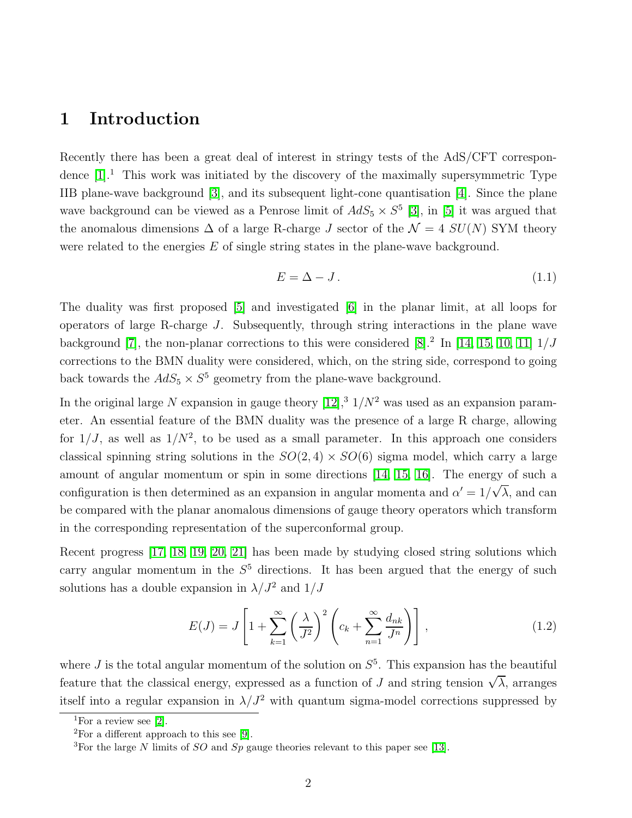### 1 Introduction

Recently there has been a great deal of interest in stringy tests of the AdS/CFT correspondence  $[1]$ <sup>1</sup>. This work was initiated by the discovery of the maximally supersymmetric Type IIB plane-wave background [\[3\]](#page-19-0), and its subsequent light-cone quantisation [\[4\]](#page-19-1). Since the plane wave background can be viewed as a Penrose limit of  $AdS_5 \times S^5$  [\[3\]](#page-19-0), in [\[5\]](#page-19-2) it was argued that the anomalous dimensions  $\Delta$  of a large R-charge J sector of the  $\mathcal{N} = 4$  SU(N) SYM theory were related to the energies  $E$  of single string states in the plane-wave background.

$$
E = \Delta - J. \tag{1.1}
$$

The duality was first proposed [\[5\]](#page-19-2) and investigated [\[6\]](#page-19-3) in the planar limit, at all loops for operators of large R-charge J. Subsequently, through string interactions in the plane wave background [\[7\]](#page-19-4), the non-planar corrections to this were considered [\[8\]](#page-19-5).<sup>2</sup> In [\[14,](#page-20-0) [15,](#page-20-1) [10,](#page-20-2) [11\]](#page-20-3)  $1/J$ corrections to the BMN duality were considered, which, on the string side, correspond to going back towards the  $AdS_5 \times S^5$  geometry from the plane-wave background.

In the original large N expansion in gauge theory  $[12],$ <sup>3</sup>  $1/N^2$  was used as an expansion parameter. An essential feature of the BMN duality was the presence of a large R charge, allowing for  $1/J$ , as well as  $1/N^2$ , to be used as a small parameter. In this approach one considers classical spinning string solutions in the  $SO(2,4) \times SO(6)$  sigma model, which carry a large amount of angular momentum or spin in some directions [\[14,](#page-20-0) [15,](#page-20-1) [16\]](#page-20-5). The energy of such a configuration is then determined as an expansion in angular momenta and  $\alpha' = 1/\sqrt{\lambda}$ , and can be compared with the planar anomalous dimensions of gauge theory operators which transform in the corresponding representation of the superconformal group.

Recent progress [\[17,](#page-20-6) [18,](#page-20-7) [19,](#page-20-8) [20,](#page-21-0) [21\]](#page-21-1) has been made by studying closed string solutions which carry angular momentum in the  $S<sup>5</sup>$  directions. It has been argued that the energy of such solutions has a double expansion in  $\lambda/J^2$  and  $1/J$ 

<span id="page-2-0"></span>
$$
E(J) = J \left[ 1 + \sum_{k=1}^{\infty} \left( \frac{\lambda}{J^2} \right)^2 \left( c_k + \sum_{n=1}^{\infty} \frac{d_{nk}}{J^n} \right) \right],
$$
 (1.2)

where  $J$  is the total angular momentum of the solution on  $S<sup>5</sup>$ . This expansion has the beautiful feature that the classical energy, expressed as a function of J and string tension  $\sqrt{\lambda}$ , arranges itself into a regular expansion in  $\lambda/J^2$  with quantum sigma-model corrections suppressed by

<sup>&</sup>lt;sup>1</sup>For a review see [\[2\]](#page-19-6).

 ${}^{2}$ For a different approach to this see [\[9\]](#page-20-9).

<sup>&</sup>lt;sup>3</sup>For the large N limits of  $SO$  and  $Sp$  gauge theories relevant to this paper see [\[13\]](#page-20-10).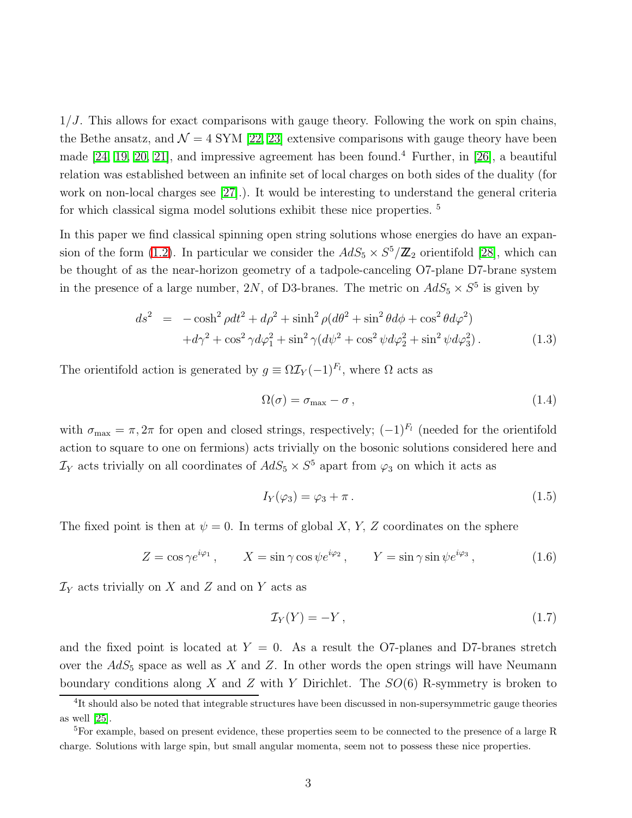$1/J$ . This allows for exact comparisons with gauge theory. Following the work on spin chains, the Bethe ansatz, and  $\mathcal{N} = 4$  SYM [\[22,](#page-21-2) [23\]](#page-21-3) extensive comparisons with gauge theory have been made  $[24, 19, 20, 21]$  $[24, 19, 20, 21]$  $[24, 19, 20, 21]$  $[24, 19, 20, 21]$ , and impressive agreement has been found.<sup>4</sup> Further, in  $[26]$ , a beautiful relation was established between an infinite set of local charges on both sides of the duality (for work on non-local charges see [\[27\]](#page-22-0).). It would be interesting to understand the general criteria for which classical sigma model solutions exhibit these nice properties. <sup>5</sup>

In this paper we find classical spinning open string solutions whose energies do have an expan-sion of the form [\(1.2\)](#page-2-0). In particular we consider the  $AdS_5 \times S^5/\mathbb{Z}_2$  orientifold [\[28\]](#page-22-1), which can be thought of as the near-horizon geometry of a tadpole-canceling O7-plane D7-brane system in the presence of a large number, 2N, of D3-branes. The metric on  $AdS_5 \times S^5$  is given by

$$
ds^{2} = -\cosh^{2}\rho dt^{2} + d\rho^{2} + \sinh^{2}\rho (d\theta^{2} + \sin^{2}\theta d\phi + \cos^{2}\theta d\varphi^{2})
$$

$$
+ d\gamma^{2} + \cos^{2}\gamma d\varphi_{1}^{2} + \sin^{2}\gamma (d\psi^{2} + \cos^{2}\psi d\varphi_{2}^{2} + \sin^{2}\psi d\varphi_{3}^{2}). \tag{1.3}
$$

The orientifold action is generated by  $g \equiv \Omega \mathcal{I}_Y(-1)^{F_l}$ , where  $\Omega$  acts as

$$
\Omega(\sigma) = \sigma_{\text{max}} - \sigma \,,\tag{1.4}
$$

with  $\sigma_{\text{max}} = \pi, 2\pi$  for open and closed strings, respectively;  $(-1)^{F_l}$  (needed for the orientifold action to square to one on fermions) acts trivially on the bosonic solutions considered here and  $\mathcal{I}_Y$  acts trivially on all coordinates of  $AdS_5 \times S^5$  apart from  $\varphi_3$  on which it acts as

<span id="page-3-0"></span>
$$
I_Y(\varphi_3) = \varphi_3 + \pi \,. \tag{1.5}
$$

The fixed point is then at  $\psi = 0$ . In terms of global X, Y, Z coordinates on the sphere

$$
Z = \cos \gamma e^{i\varphi_1}, \qquad X = \sin \gamma \cos \psi e^{i\varphi_2}, \qquad Y = \sin \gamma \sin \psi e^{i\varphi_3}, \qquad (1.6)
$$

 $\mathcal{I}_Y$  acts trivially on X and Z and on Y acts as

<span id="page-3-1"></span>
$$
\mathcal{I}_Y(Y) = -Y \,,\tag{1.7}
$$

and the fixed point is located at  $Y = 0$ . As a result the O7-planes and D7-branes stretch over the  $AdS_5$  space as well as X and Z. In other words the open strings will have Neumann boundary conditions along X and Z with Y Dirichlet. The  $SO(6)$  R-symmetry is broken to

<sup>&</sup>lt;sup>4</sup>It should also be noted that integrable structures have been discussed in non-supersymmetric gauge theories as well [\[25\]](#page-21-6).

<sup>5</sup>For example, based on present evidence, these properties seem to be connected to the presence of a large R charge. Solutions with large spin, but small angular momenta, seem not to possess these nice properties.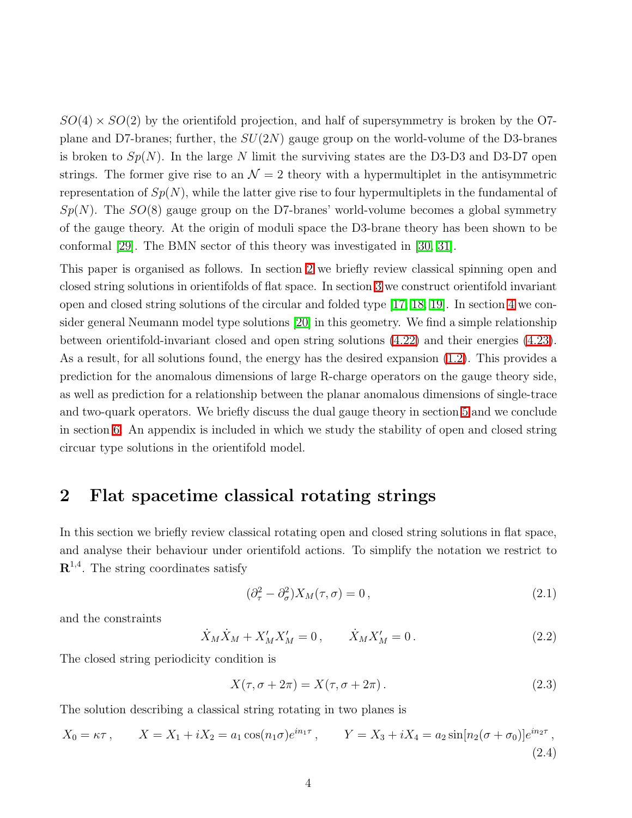$SO(4) \times SO(2)$  by the orientifold projection, and half of supersymmetry is broken by the O7plane and D7-branes; further, the  $SU(2N)$  gauge group on the world-volume of the D3-branes is broken to  $Sp(N)$ . In the large N limit the surviving states are the D3-D3 and D3-D7 open strings. The former give rise to an  $\mathcal{N} = 2$  theory with a hypermultiplet in the antisymmetric representation of  $Sp(N)$ , while the latter give rise to four hypermultiplets in the fundamental of  $Sp(N)$ . The  $SO(8)$  gauge group on the D7-branes' world-volume becomes a global symmetry of the gauge theory. At the origin of moduli space the D3-brane theory has been shown to be conformal [\[29\]](#page-22-2). The BMN sector of this theory was investigated in [\[30,](#page-22-3) [31\]](#page-22-4).

This paper is organised as follows. In section [2](#page-4-0) we briefly review classical spinning open and closed string solutions in orientifolds of flat space. In section [3](#page-6-0) we construct orientifold invariant open and closed string solutions of the circular and folded type [\[17,](#page-20-6) [18,](#page-20-7) [19\]](#page-20-8). In section [4](#page-9-0) we consider general Neumann model type solutions [\[20\]](#page-21-0) in this geometry. We find a simple relationship between orientifold-invariant closed and open string solutions [\(4.22\)](#page-12-0) and their energies [\(4.23\)](#page-13-0). As a result, for all solutions found, the energy has the desired expansion [\(1.2\)](#page-2-0). This provides a prediction for the anomalous dimensions of large R-charge operators on the gauge theory side, as well as prediction for a relationship between the planar anomalous dimensions of single-trace and two-quark operators. We briefly discuss the dual gauge theory in section [5](#page-13-1) and we conclude in section [6.](#page-14-0) An appendix is included in which we study the stability of open and closed string circuar type solutions in the orientifold model.

#### <span id="page-4-0"></span>2 Flat spacetime classical rotating strings

In this section we briefly review classical rotating open and closed string solutions in flat space, and analyse their behaviour under orientifold actions. To simplify the notation we restrict to  $\mathbb{R}^{1,4}$ . The string coordinates satisfy

<span id="page-4-1"></span>
$$
(\partial_{\tau}^{2} - \partial_{\sigma}^{2}) X_{M}(\tau, \sigma) = 0, \qquad (2.1)
$$

<span id="page-4-2"></span>and the constraints

$$
\dot{X}_M \dot{X}_M + X'_M X'_M = 0, \qquad \dot{X}_M X'_M = 0.
$$
\n(2.2)

The closed string periodicity condition is

$$
X(\tau, \sigma + 2\pi) = X(\tau, \sigma + 2\pi). \tag{2.3}
$$

The solution describing a classical string rotating in two planes is

$$
X_0 = \kappa \tau, \qquad X = X_1 + iX_2 = a_1 \cos(n_1 \sigma) e^{in_1 \tau}, \qquad Y = X_3 + iX_4 = a_2 \sin[n_2(\sigma + \sigma_0)] e^{in_2 \tau}, \tag{2.4}
$$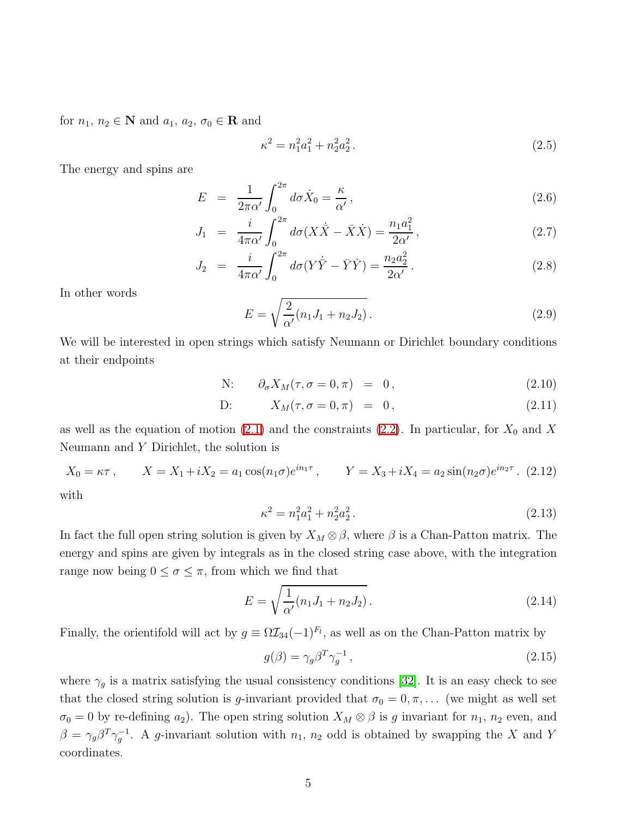for  $n_1, n_2 \in \mathbb{N}$  and  $a_1, a_2, \sigma_0 \in \mathbb{R}$  and

$$
\kappa^2 = n_1^2 a_1^2 + n_2^2 a_2^2 \,. \tag{2.5}
$$

<span id="page-5-0"></span>The energy and spins are

$$
E = \frac{1}{2\pi\alpha'} \int_0^{2\pi} d\sigma \dot{X}_0 = \frac{\kappa}{\alpha'}, \qquad (2.6)
$$

$$
J_1 = \frac{i}{4\pi\alpha'} \int_0^{2\pi} d\sigma (X\dot{\bar{X}} - \bar{X}\dot{X}) = \frac{n_1 a_1^2}{2\alpha'},
$$
 (2.7)

$$
J_2 = \frac{i}{4\pi\alpha'} \int_0^{2\pi} d\sigma (Y\dot{\bar{Y}} - \bar{Y}\dot{Y}) = \frac{n_2 a_2^2}{2\alpha'}.
$$
 (2.8)

In other words

$$
E = \sqrt{\frac{2}{\alpha'}(n_1 J_1 + n_2 J_2)}.
$$
\n(2.9)

We will be interested in open strings which satisfy Neumann or Dirichlet boundary conditions at their endpoints

$$
N: \qquad \partial_{\sigma} X_M(\tau, \sigma = 0, \pi) = 0, \tag{2.10}
$$

D: 
$$
X_M(\tau, \sigma = 0, \pi) = 0,
$$
 (2.11)

as well as the equation of motion [\(2.1\)](#page-4-1) and the constraints [\(2.2\)](#page-4-2). In particular, for  $X_0$  and X Neumann and Y Dirichlet, the solution is

$$
X_0 = \kappa \tau
$$
,  $X = X_1 + iX_2 = a_1 \cos(n_1 \sigma) e^{in_1 \tau}$ ,  $Y = X_3 + iX_4 = a_2 \sin(n_2 \sigma) e^{in_2 \tau}$ . (2.12)

with

$$
\kappa^2 = n_1^2 a_1^2 + n_2^2 a_2^2 \,. \tag{2.13}
$$

In fact the full open string solution is given by  $X_M \otimes \beta$ , where  $\beta$  is a Chan-Patton matrix. The energy and spins are given by integrals as in the closed string case above, with the integration range now being  $0 \leq \sigma \leq \pi$ , from which we find that

$$
E = \sqrt{\frac{1}{\alpha'}(n_1 J_1 + n_2 J_2)}.
$$
\n(2.14)

Finally, the orientifold will act by  $g \equiv \Omega \mathcal{I}_{34}(-1)^{F_l}$ , as well as on the Chan-Patton matrix by

<span id="page-5-1"></span>
$$
g(\beta) = \gamma_g \beta^T \gamma_g^{-1},\tag{2.15}
$$

where  $\gamma_g$  is a matrix satisfying the usual consistency conditions [\[32\]](#page-22-5). It is an easy check to see that the closed string solution is g-invariant provided that  $\sigma_0 = 0, \pi, \ldots$  (we might as well set  $\sigma_0 = 0$  by re-defining  $a_2$ ). The open string solution  $X_M \otimes \beta$  is g invariant for  $n_1$ ,  $n_2$  even, and  $\beta = \gamma_g \beta^T \gamma_g^{-1}$ . A g-invariant solution with  $n_1$ ,  $n_2$  odd is obtained by swapping the X and Y coordinates.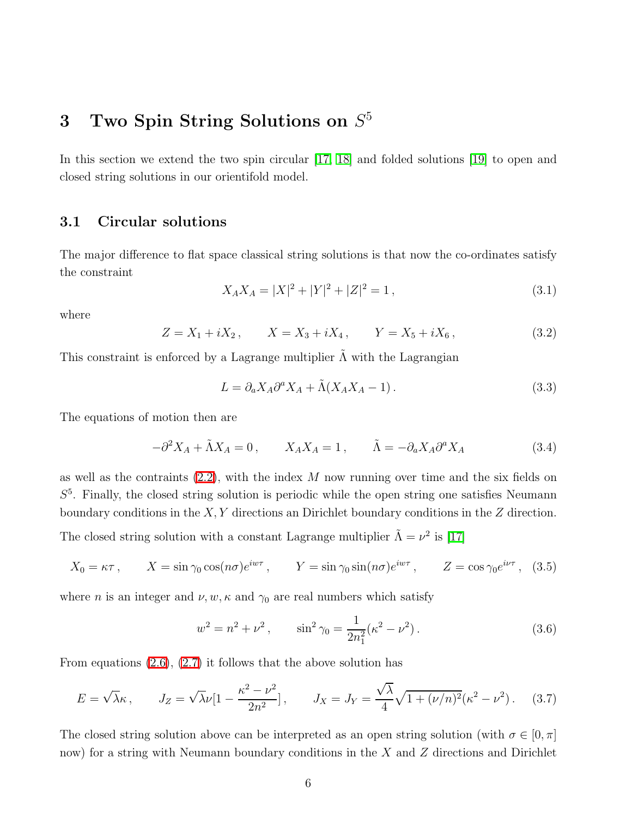## <span id="page-6-0"></span> $3$  Two Spin String Solutions on  $S^5$

<span id="page-6-2"></span>In this section we extend the two spin circular [\[17,](#page-20-6) [18\]](#page-20-7) and folded solutions [\[19\]](#page-20-8) to open and closed string solutions in our orientifold model.

#### 3.1 Circular solutions

The major difference to flat space classical string solutions is that now the co-ordinates satisfy the constraint

$$
X_A X_A = |X|^2 + |Y|^2 + |Z|^2 = 1,
$$
\n(3.1)

where

$$
Z = X_1 + iX_2, \qquad X = X_3 + iX_4, \qquad Y = X_5 + iX_6, \tag{3.2}
$$

This constraint is enforced by a Lagrange multiplier  $\tilde{\Lambda}$  with the Lagrangian

<span id="page-6-1"></span>
$$
L = \partial_a X_A \partial^a X_A + \tilde{\Lambda}(X_A X_A - 1) \,. \tag{3.3}
$$

The equations of motion then are

$$
-\partial^2 X_A + \tilde{\Lambda} X_A = 0, \qquad X_A X_A = 1, \qquad \tilde{\Lambda} = -\partial_a X_A \partial^a X_A \tag{3.4}
$$

as well as the contraints  $(2.2)$ , with the index M now running over time and the six fields on  $S<sup>5</sup>$ . Finally, the closed string solution is periodic while the open string one satisfies Neumann boundary conditions in the X, Y directions an Dirichlet boundary conditions in the Z direction.

The closed string solution with a constant Lagrange multiplier  $\tilde{\Lambda} = \nu^2$  is [\[17\]](#page-20-6)

$$
X_0 = \kappa \tau, \qquad X = \sin \gamma_0 \cos(n\sigma) e^{iw\tau}, \qquad Y = \sin \gamma_0 \sin(n\sigma) e^{iw\tau}, \qquad Z = \cos \gamma_0 e^{iv\tau}, \tag{3.5}
$$

where *n* is an integer and  $\nu, w, \kappa$  and  $\gamma_0$  are real numbers which satisfy

$$
w^{2} = n^{2} + \nu^{2}, \qquad \sin^{2} \gamma_{0} = \frac{1}{2n_{1}^{2}} (\kappa^{2} - \nu^{2}). \qquad (3.6)
$$

From equations [\(2.6\)](#page-5-0), [\(2.7\)](#page-5-0) it follows that the above solution has

$$
E = \sqrt{\lambda} \kappa, \qquad J_Z = \sqrt{\lambda} \nu [1 - \frac{\kappa^2 - \nu^2}{2n^2}], \qquad J_X = J_Y = \frac{\sqrt{\lambda}}{4} \sqrt{1 + (\nu/n)^2} (\kappa^2 - \nu^2). \tag{3.7}
$$

The closed string solution above can be interpreted as an open string solution (with  $\sigma \in [0, \pi]$ ) now) for a string with Neumann boundary conditions in the X and Z directions and Dirichlet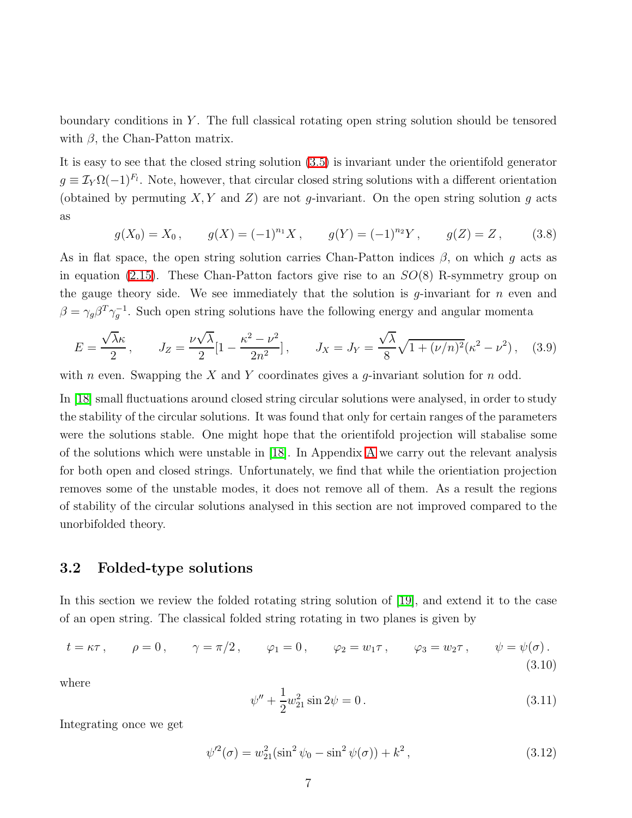boundary conditions in  $Y$ . The full classical rotating open string solution should be tensored with  $\beta$ , the Chan-Patton matrix.

<span id="page-7-2"></span>It is easy to see that the closed string solution [\(3.5\)](#page-6-1) is invariant under the orientifold generator  $g \equiv \mathcal{I}_Y \Omega(-1)^{F_l}$ . Note, however, that circular closed string solutions with a different orientation (obtained by permuting  $X, Y$  and  $Z$ ) are not g-invariant. On the open string solution g acts as

$$
g(X_0) = X_0
$$
,  $g(X) = (-1)^{n_1} X$ ,  $g(Y) = (-1)^{n_2} Y$ ,  $g(Z) = Z$ , (3.8)

As in flat space, the open string solution carries Chan-Patton indices  $\beta$ , on which g acts as in equation [\(2.15\)](#page-5-1). These Chan-Patton factors give rise to an  $SO(8)$  R-symmetry group on the gauge theory side. We see immediately that the solution is  $g$ -invariant for n even and  $\beta = \gamma_g \beta^T \gamma_g^{-1}$ . Such open string solutions have the following energy and angular momenta

$$
E = \frac{\sqrt{\lambda}\kappa}{2}, \qquad J_Z = \frac{\nu\sqrt{\lambda}}{2}[1 - \frac{\kappa^2 - \nu^2}{2n^2}], \qquad J_X = J_Y = \frac{\sqrt{\lambda}}{8}\sqrt{1 + (\nu/n)^2}(\kappa^2 - \nu^2), \quad (3.9)
$$

with n even. Swapping the X and Y coordinates gives a g-invariant solution for  $n$  odd.

In [\[18\]](#page-20-7) small fluctuations around closed string circular solutions were analysed, in order to study the stability of the circular solutions. It was found that only for certain ranges of the parameters were the solutions stable. One might hope that the orientifold projection will stabalise some of the solutions which were unstable in [\[18\]](#page-20-7). In Appendix [A](#page-16-0) we carry out the relevant analysis for both open and closed strings. Unfortunately, we find that while the orientiation projection removes some of the unstable modes, it does not remove all of them. As a result the regions of stability of the circular solutions analysed in this section are not improved compared to the unorbifolded theory.

#### <span id="page-7-1"></span>3.2 Folded-type solutions

In this section we review the folded rotating string solution of [\[19\]](#page-20-8), and extend it to the case of an open string. The classical folded string rotating in two planes is given by

$$
t = \kappa \tau
$$
,  $\rho = 0$ ,  $\gamma = \pi/2$ ,  $\varphi_1 = 0$ ,  $\varphi_2 = w_1 \tau$ ,  $\varphi_3 = w_2 \tau$ ,  $\psi = \psi(\sigma)$ .  
(3.10)

where

<span id="page-7-0"></span>
$$
\psi'' + \frac{1}{2}w_{21}^2 \sin 2\psi = 0. \tag{3.11}
$$

Integrating once we get

$$
\psi^2(\sigma) = w_{21}^2 (\sin^2 \psi_0 - \sin^2 \psi(\sigma)) + k^2, \qquad (3.12)
$$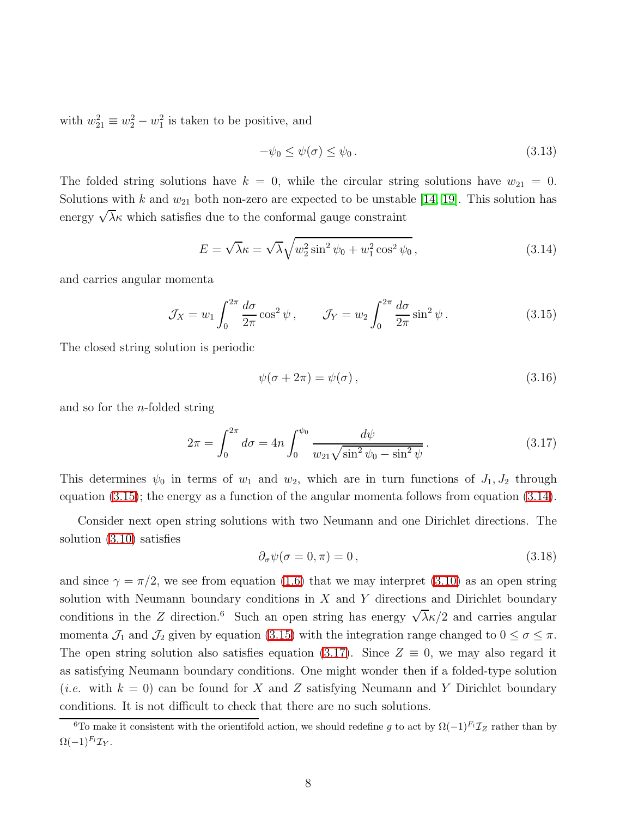with  $w_{21}^2 \equiv w_2^2 - w_1^2$  is taken to be positive, and

<span id="page-8-1"></span>
$$
-\psi_0 \le \psi(\sigma) \le \psi_0 \,. \tag{3.13}
$$

The folded string solutions have  $k = 0$ , while the circular string solutions have  $w_{21} = 0$ . Solutions with k and  $w_{21}$  both non-zero are expected to be unstable [\[14,](#page-20-0) [19\]](#page-20-8). This solution has energy  $\sqrt{\lambda}\kappa$  which satisfies due to the conformal gauge constraint

$$
E = \sqrt{\lambda}\kappa = \sqrt{\lambda}\sqrt{w_2^2 \sin^2\psi_0 + w_1^2 \cos^2\psi_0},\qquad(3.14)
$$

and carries angular momenta

<span id="page-8-0"></span>
$$
\mathcal{J}_X = w_1 \int_0^{2\pi} \frac{d\sigma}{2\pi} \cos^2 \psi , \qquad \mathcal{J}_Y = w_2 \int_0^{2\pi} \frac{d\sigma}{2\pi} \sin^2 \psi . \tag{3.15}
$$

The closed string solution is periodic

$$
\psi(\sigma + 2\pi) = \psi(\sigma),\tag{3.16}
$$

and so for the n-folded string

<span id="page-8-2"></span>
$$
2\pi = \int_0^{2\pi} d\sigma = 4n \int_0^{\psi_0} \frac{d\psi}{w_{21}\sqrt{\sin^2\psi_0 - \sin^2\psi}}.
$$
 (3.17)

This determines  $\psi_0$  in terms of  $w_1$  and  $w_2$ , which are in turn functions of  $J_1, J_2$  through equation [\(3.15\)](#page-8-0); the energy as a function of the angular momenta follows from equation [\(3.14\)](#page-8-1).

Consider next open string solutions with two Neumann and one Dirichlet directions. The solution [\(3.10\)](#page-7-0) satisfies

$$
\partial_{\sigma}\psi(\sigma=0,\pi)=0\,,\tag{3.18}
$$

and since  $\gamma = \pi/2$ , we see from equation [\(1.6\)](#page-3-0) that we may interpret [\(3.10\)](#page-7-0) as an open string solution with Neumann boundary conditions in  $X$  and  $Y$  directions and Dirichlet boundary conditions in the Z direction.<sup>6</sup> Such an open string has energy  $\sqrt{\lambda} \kappa/2$  and carries angular momenta  $\mathcal{J}_1$  and  $\mathcal{J}_2$  given by equation [\(3.15\)](#page-8-0) with the integration range changed to  $0 \leq \sigma \leq \pi$ . The open string solution also satisfies equation [\(3.17\)](#page-8-2). Since  $Z \equiv 0$ , we may also regard it as satisfying Neumann boundary conditions. One might wonder then if a folded-type solution (*i.e.* with  $k = 0$ ) can be found for X and Z satisfying Neumann and Y Dirichlet boundary conditions. It is not difficult to check that there are no such solutions.

<sup>&</sup>lt;sup>6</sup>To make it consistent with the orientifold action, we should redefine g to act by  $\Omega(-1)^{F_l}\mathcal{I}_Z$  rather than by  $\Omega(-1)^{F_l}\mathcal{I}_Y$ .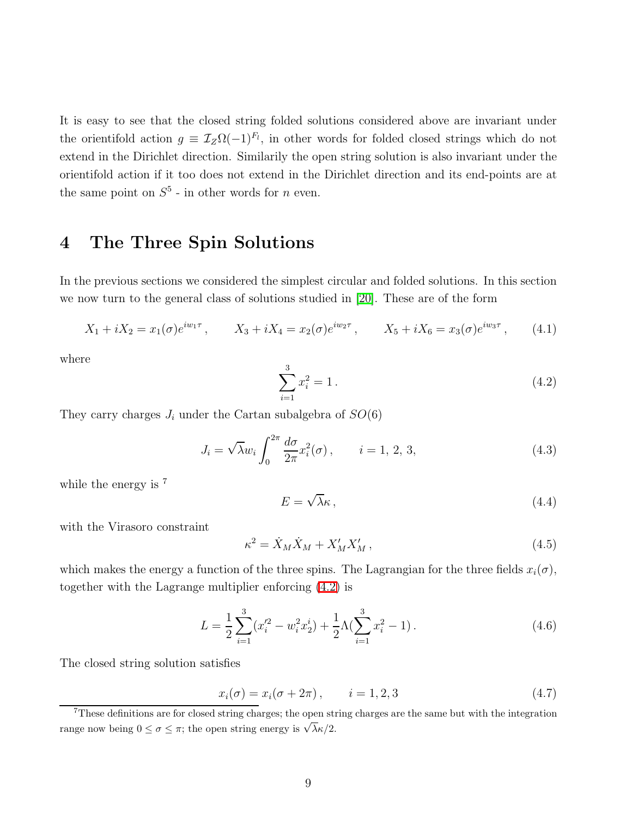It is easy to see that the closed string folded solutions considered above are invariant under the orientifold action  $g \equiv \mathcal{I}_Z \Omega(-1)^{F_l}$ , in other words for folded closed strings which do not extend in the Dirichlet direction. Similarily the open string solution is also invariant under the orientifold action if it too does not extend in the Dirichlet direction and its end-points are at the same point on  $S^5$  - in other words for *n* even.

## <span id="page-9-0"></span>4 The Three Spin Solutions

In the previous sections we considered the simplest circular and folded solutions. In this section we now turn to the general class of solutions studied in [\[20\]](#page-21-0). These are of the form

$$
X_1 + iX_2 = x_1(\sigma)e^{iw_1\tau}, \qquad X_3 + iX_4 = x_2(\sigma)e^{iw_2\tau}, \qquad X_5 + iX_6 = x_3(\sigma)e^{iw_3\tau}, \qquad (4.1)
$$

<span id="page-9-1"></span>where

$$
\sum_{i=1}^{3} x_i^2 = 1.
$$
\n(4.2)

They carry charges  $J_i$  under the Cartan subalgebra of  $SO(6)$ 

$$
J_i = \sqrt{\lambda} w_i \int_0^{2\pi} \frac{d\sigma}{2\pi} x_i^2(\sigma), \qquad i = 1, 2, 3,
$$
 (4.3)

while the energy is  $<sup>7</sup>$ </sup>

$$
E = \sqrt{\lambda} \kappa \,,\tag{4.4}
$$

with the Virasoro constraint

$$
\kappa^2 = \dot{X}_M \dot{X}_M + X'_M X'_M , \qquad (4.5)
$$

which makes the energy a function of the three spins. The Lagrangian for the three fields  $x_i(\sigma)$ , together with the Lagrange multiplier enforcing [\(4.2\)](#page-9-1) is

<span id="page-9-2"></span>
$$
L = \frac{1}{2} \sum_{i=1}^{3} (x_i'^2 - w_i^2 x_2^i) + \frac{1}{2} \Lambda (\sum_{i=1}^{3} x_i^2 - 1).
$$
 (4.6)

The closed string solution satisfies

$$
x_i(\sigma) = x_i(\sigma + 2\pi), \qquad i = 1, 2, 3 \tag{4.7}
$$

<sup>&</sup>lt;sup>7</sup>These definitions are for closed string charges; the open string charges are the same but with the integration range now being  $0 \leq \sigma \leq \pi$ ; the open string energy is  $\sqrt{\lambda} \kappa/2$ .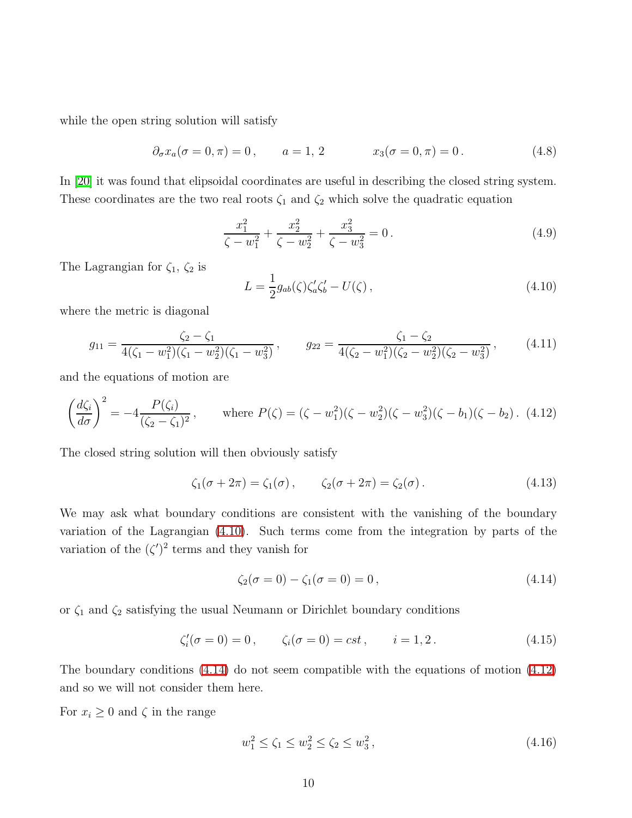while the open string solution will satisfy

<span id="page-10-3"></span>
$$
\partial_{\sigma} x_a(\sigma = 0, \pi) = 0
$$
,  $a = 1, 2$   $x_3(\sigma = 0, \pi) = 0$ . (4.8)

In [\[20\]](#page-21-0) it was found that elipsoidal coordinates are useful in describing the closed string system. These coordinates are the two real roots  $\zeta_1$  and  $\zeta_2$  which solve the quadratic equation

$$
\frac{x_1^2}{\zeta - w_1^2} + \frac{x_2^2}{\zeta - w_2^2} + \frac{x_3^2}{\zeta - w_3^2} = 0.
$$
\n(4.9)

<span id="page-10-0"></span>The Lagrangian for  $\zeta_1$ ,  $\zeta_2$  is

$$
L = \frac{1}{2}g_{ab}(\zeta)\zeta_a'\zeta_b' - U(\zeta) ,\qquad (4.10)
$$

where the metric is diagonal

<span id="page-10-2"></span>
$$
g_{11} = \frac{\zeta_2 - \zeta_1}{4(\zeta_1 - w_1^2)(\zeta_1 - w_2^2)(\zeta_1 - w_3^2)}, \qquad g_{22} = \frac{\zeta_1 - \zeta_2}{4(\zeta_2 - w_1^2)(\zeta_2 - w_2^2)(\zeta_2 - w_3^2)}, \qquad (4.11)
$$

and the equations of motion are

$$
\left(\frac{d\zeta_i}{d\sigma}\right)^2 = -4\frac{P(\zeta_i)}{(\zeta_2 - \zeta_1)^2}, \qquad \text{where } P(\zeta) = (\zeta - w_1^2)(\zeta - w_2^2)(\zeta - w_3^2)(\zeta - b_1)(\zeta - b_2). \tag{4.12}
$$

The closed string solution will then obviously satisfy

$$
\zeta_1(\sigma + 2\pi) = \zeta_1(\sigma), \qquad \zeta_2(\sigma + 2\pi) = \zeta_2(\sigma). \tag{4.13}
$$

We may ask what boundary conditions are consistent with the vanishing of the boundary variation of the Lagrangian [\(4.10\)](#page-10-0). Such terms come from the integration by parts of the variation of the  $(\zeta')^2$  terms and they vanish for

<span id="page-10-1"></span>
$$
\zeta_2(\sigma = 0) - \zeta_1(\sigma = 0) = 0, \qquad (4.14)
$$

or  $\zeta_1$  and  $\zeta_2$  satisfying the usual Neumann or Dirichlet boundary conditions

$$
\zeta_i'(\sigma = 0) = 0, \qquad \zeta_i(\sigma = 0) = cst, \qquad i = 1, 2. \tag{4.15}
$$

The boundary conditions [\(4.14\)](#page-10-1) do not seem compatible with the equations of motion [\(4.12\)](#page-10-2) and so we will not consider them here.

For  $x_i \geq 0$  and  $\zeta$  in the range

$$
w_1^2 \le \zeta_1 \le w_2^2 \le \zeta_2 \le w_3^2,\tag{4.16}
$$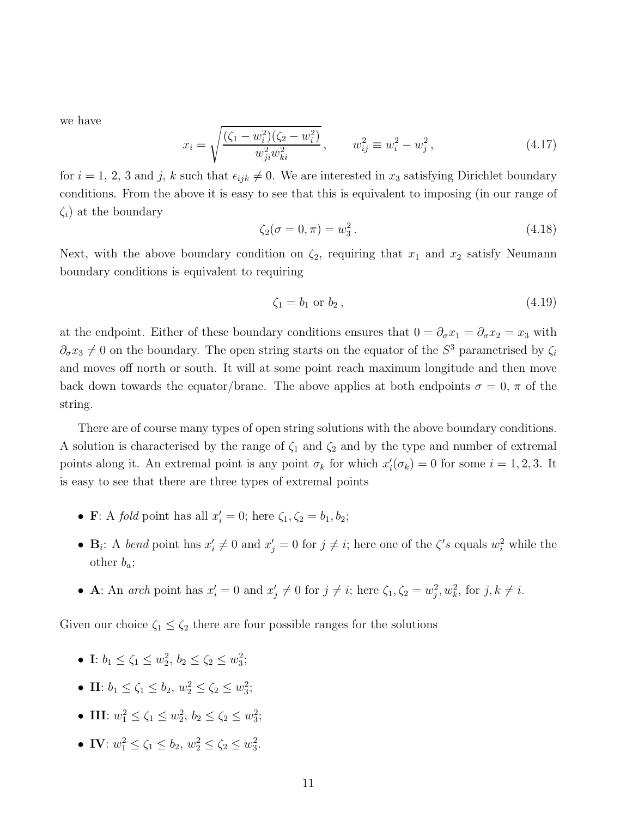we have

$$
x_i = \sqrt{\frac{(\zeta_1 - w_i^2)(\zeta_2 - w_i^2)}{w_{ji}^2 w_{ki}^2}}, \qquad w_{ij}^2 \equiv w_i^2 - w_j^2, \qquad (4.17)
$$

for  $i = 1, 2, 3$  and j, k such that  $\epsilon_{ijk} \neq 0$ . We are interested in  $x_3$  satisfying Dirichlet boundary conditions. From the above it is easy to see that this is equivalent to imposing (in our range of  $\zeta_i$ ) at the boundary

$$
\zeta_2(\sigma = 0, \pi) = w_3^2. \tag{4.18}
$$

Next, with the above boundary condition on  $\zeta_2$ , requiring that  $x_1$  and  $x_2$  satisfy Neumann boundary conditions is equivalent to requiring

$$
\zeta_1 = b_1 \text{ or } b_2, \tag{4.19}
$$

at the endpoint. Either of these boundary conditions ensures that  $0 = \partial_{\sigma} x_1 = \partial_{\sigma} x_2 = x_3$  with  $\partial_{\sigma} x_3 \neq 0$  on the boundary. The open string starts on the equator of the  $S^3$  parametrised by  $\zeta_i$ and moves off north or south. It will at some point reach maximum longitude and then move back down towards the equator/brane. The above applies at both endpoints  $\sigma = 0, \pi$  of the string.

There are of course many types of open string solutions with the above boundary conditions. A solution is characterised by the range of  $\zeta_1$  and  $\zeta_2$  and by the type and number of extremal points along it. An extremal point is any point  $\sigma_k$  for which  $x'_i$  $i'_{i}(\sigma_{k})=0$  for some  $i=1,2,3$ . It is easy to see that there are three types of extremal points

- **F**: A *fold* point has all  $x'_i = 0$ ; here  $\zeta_1, \zeta_2 = b_1, b_2$ ;
- $\mathbf{B}_i$ : A *bend* point has  $x'_i$  $x'_i \neq 0$  and  $x'_j = 0$  for  $j \neq i$ ; here one of the  $\zeta's$  equals  $w_i^2$  while the other  $b_a$ ;
- **A**: An *arch* point has  $x'_i = 0$  and  $x'_j$  $\zeta_j \neq 0$  for  $j \neq i$ ; here  $\zeta_1, \zeta_2 = w_j^2, w_k^2$ , for  $j, k \neq i$ .

Given our choice  $\zeta_1 \leq \zeta_2$  there are four possible ranges for the solutions

- I:  $b_1 \le \zeta_1 \le w_2^2$ ,  $b_2 \le \zeta_2 \le w_3^2$ ;
- II:  $b_1 \le \zeta_1 \le b_2, w_2^2 \le \zeta_2 \le w_3^2$ ;
- III:  $w_1^2 \le \zeta_1 \le w_2^2$ ,  $b_2 \le \zeta_2 \le w_3^2$ ;
- IV:  $w_1^2 \le \zeta_1 \le b_2, w_2^2 \le \zeta_2 \le w_3^2$ .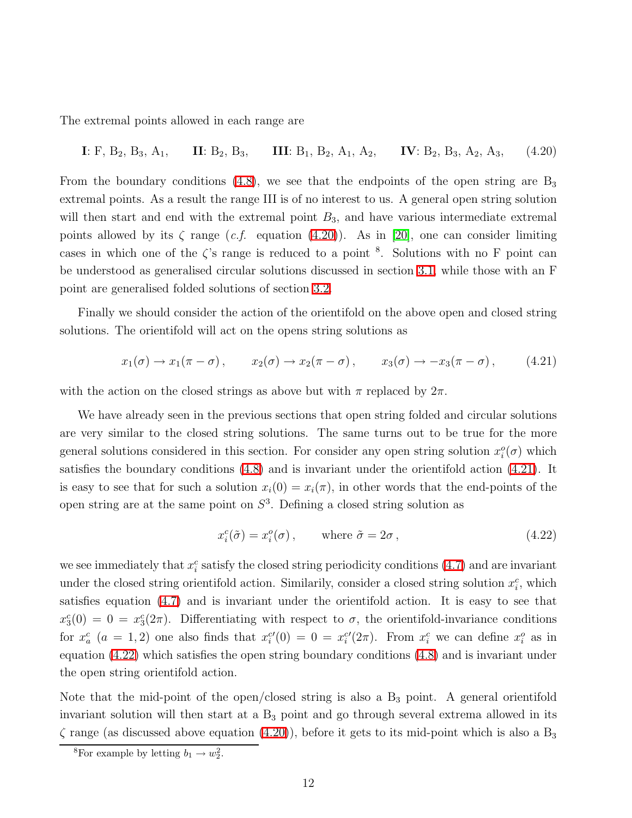The extremal points allowed in each range are

<span id="page-12-1"></span>
$$
I: F, B_2, B_3, A_1, \qquad II: B_2, B_3, \qquad III: B_1, B_2, A_1, A_2, \qquad IV: B_2, B_3, A_2, A_3, \qquad (4.20)
$$

From the boundary conditions [\(4.8\)](#page-10-3), we see that the endpoints of the open string are  $B_3$ extremal points. As a result the range III is of no interest to us. A general open string solution will then start and end with the extremal point  $B_3$ , and have various intermediate extremal points allowed by its  $\zeta$  range (*c.f.* equation [\(4.20\)](#page-12-1)). As in [\[20\]](#page-21-0), one can consider limiting cases in which one of the  $\zeta$ 's range is reduced to a point <sup>8</sup>. Solutions with no F point can be understood as generalised circular solutions discussed in section [3.1,](#page-6-2) while those with an F point are generalised folded solutions of section [3.2.](#page-7-1)

Finally we should consider the action of the orientifold on the above open and closed string solutions. The orientifold will act on the opens string solutions as

<span id="page-12-2"></span>
$$
x_1(\sigma) \to x_1(\pi - \sigma), \qquad x_2(\sigma) \to x_2(\pi - \sigma), \qquad x_3(\sigma) \to -x_3(\pi - \sigma), \qquad (4.21)
$$

with the action on the closed strings as above but with  $\pi$  replaced by  $2\pi$ .

We have already seen in the previous sections that open string folded and circular solutions are very similar to the closed string solutions. The same turns out to be true for the more general solutions considered in this section. For consider any open string solution  $x_i^o(\sigma)$  which satisfies the boundary conditions [\(4.8\)](#page-10-3) and is invariant under the orientifold action [\(4.21\)](#page-12-2). It is easy to see that for such a solution  $x_i(0) = x_i(\pi)$ , in other words that the end-points of the open string are at the same point on  $S^3$ . Defining a closed string solution as

<span id="page-12-0"></span>
$$
x_i^c(\tilde{\sigma}) = x_i^o(\sigma), \qquad \text{where } \tilde{\sigma} = 2\sigma, \tag{4.22}
$$

we see immediately that  $x_i^c$  satisfy the closed string periodicity conditions  $(4.7)$  and are invariant under the closed string orientifold action. Similarly, consider a closed string solution  $x_i^c$ , which satisfies equation [\(4.7\)](#page-9-2) and is invariant under the orientifold action. It is easy to see that  $x_3^c(0) = 0 = x_3^c(2\pi)$ . Differentiating with respect to  $\sigma$ , the orientifold-invariance conditions for  $x_a^c$   $(a = 1, 2)$  one also finds that  $x_i^c$  $\prime(0) = 0 = x_i^c$  $\mathcal{L}(2\pi)$ . From  $x_i^c$  we can define  $x_i^o$  as in equation [\(4.22\)](#page-12-0) which satisfies the open string boundary conditions [\(4.8\)](#page-10-3) and is invariant under the open string orientifold action.

Note that the mid-point of the open/closed string is also a  $B_3$  point. A general orientifold invariant solution will then start at a  $B_3$  point and go through several extrema allowed in its  $\zeta$  range (as discussed above equation [\(4.20\)](#page-12-1)), before it gets to its mid-point which is also a  $B_3$ 

<sup>&</sup>lt;sup>8</sup>For example by letting  $b_1 \rightarrow w_2^2$ .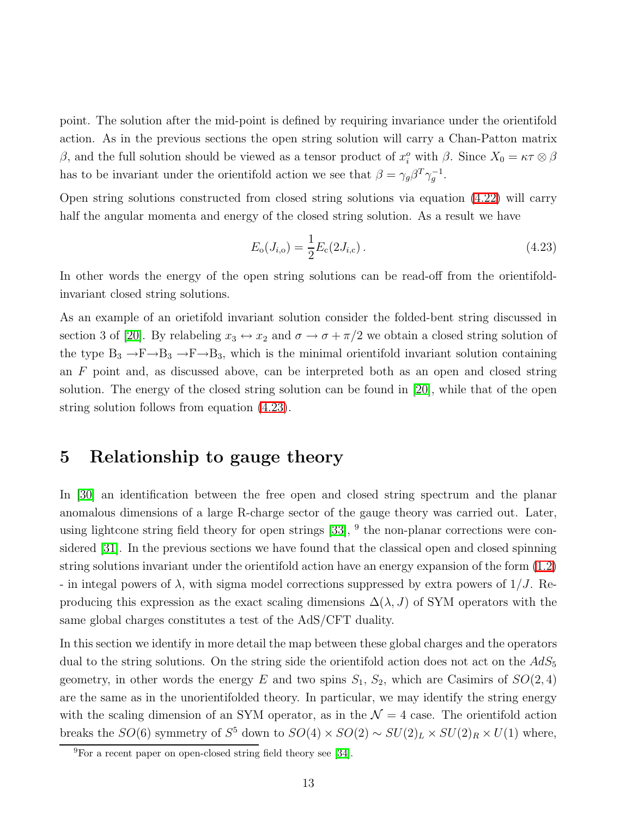point. The solution after the mid-point is defined by requiring invariance under the orientifold action. As in the previous sections the open string solution will carry a Chan-Patton matrix β, and the full solution should be viewed as a tensor product of  $x_i^o$  with β. Since  $X_0 = \kappa \tau \otimes \beta$ has to be invariant under the orientifold action we see that  $\beta = \gamma_g \beta^T \gamma_g^{-1}$ .

Open string solutions constructed from closed string solutions via equation [\(4.22\)](#page-12-0) will carry half the angular momenta and energy of the closed string solution. As a result we have

<span id="page-13-0"></span>
$$
E_{o}(J_{i,o}) = \frac{1}{2} E_{c}(2J_{i,c}).
$$
\n(4.23)

In other words the energy of the open string solutions can be read-off from the orientifoldinvariant closed string solutions.

As an example of an orietifold invariant solution consider the folded-bent string discussed in section 3 of [\[20\]](#page-21-0). By relabeling  $x_3 \leftrightarrow x_2$  and  $\sigma \rightarrow \sigma + \pi/2$  we obtain a closed string solution of the type  $B_3 \rightarrow F \rightarrow B_3 \rightarrow F \rightarrow B_3$ , which is the minimal orientifold invariant solution containing an F point and, as discussed above, can be interpreted both as an open and closed string solution. The energy of the closed string solution can be found in [\[20\]](#page-21-0), while that of the open string solution follows from equation [\(4.23\)](#page-13-0).

## <span id="page-13-1"></span>5 Relationship to gauge theory

In [\[30\]](#page-22-3) an identification between the free open and closed string spectrum and the planar anomalous dimensions of a large R-charge sector of the gauge theory was carried out. Later, using lightcone string field theory for open strings  $[33]$ ,  $\frac{9}{2}$  the non-planar corrections were considered [\[31\]](#page-22-4). In the previous sections we have found that the classical open and closed spinning string solutions invariant under the orientifold action have an energy expansion of the form [\(1.2\)](#page-2-0) - in integal powers of  $\lambda$ , with sigma model corrections suppressed by extra powers of  $1/J$ . Reproducing this expression as the exact scaling dimensions  $\Delta(\lambda, J)$  of SYM operators with the same global charges constitutes a test of the AdS/CFT duality.

In this section we identify in more detail the map between these global charges and the operators dual to the string solutions. On the string side the orientifold action does not act on the  $AdS_5$ geometry, in other words the energy E and two spins  $S_1$ ,  $S_2$ , which are Casimirs of  $SO(2,4)$ are the same as in the unorientifolded theory. In particular, we may identify the string energy with the scaling dimension of an SYM operator, as in the  $\mathcal{N}=4$  case. The orientifold action breaks the  $SO(6)$  symmetry of  $S^5$  down to  $SO(4) \times SO(2) \sim SU(2)_L \times SU(2)_R \times U(1)$  where,

<sup>9</sup>For a recent paper on open-closed string field theory see [\[34\]](#page-22-7).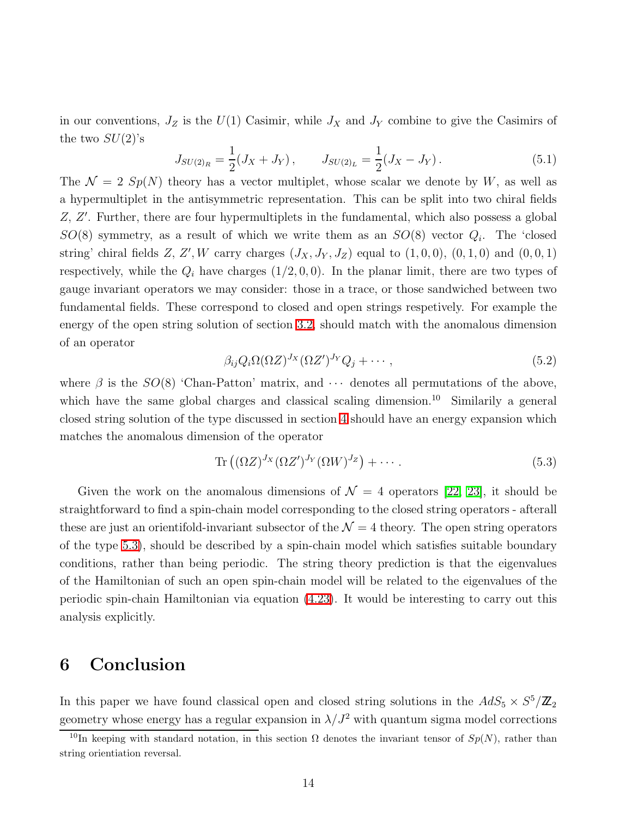in our conventions,  $J_Z$  is the  $U(1)$  Casimir, while  $J_X$  and  $J_Y$  combine to give the Casimirs of the two  $SU(2)$ 's

$$
J_{SU(2)_R} = \frac{1}{2}(J_X + J_Y), \qquad J_{SU(2)_L} = \frac{1}{2}(J_X - J_Y). \tag{5.1}
$$

The  $\mathcal{N} = 2 Sp(N)$  theory has a vector multiplet, whose scalar we denote by W, as well as a hypermultiplet in the antisymmetric representation. This can be split into two chiral fields Z, Z′ . Further, there are four hypermultiplets in the fundamental, which also possess a global  $SO(8)$  symmetry, as a result of which we write them as an  $SO(8)$  vector  $Q_i$ . The 'closed string' chiral fields Z, Z', W carry charges  $(J_X, J_Y, J_Z)$  equal to  $(1, 0, 0)$ ,  $(0, 1, 0)$  and  $(0, 0, 1)$ respectively, while the  $Q_i$  have charges  $(1/2, 0, 0)$ . In the planar limit, there are two types of gauge invariant operators we may consider: those in a trace, or those sandwiched between two fundamental fields. These correspond to closed and open strings respetively. For example the energy of the open string solution of section [3.2,](#page-7-1) should match with the anomalous dimension of an operator

$$
\beta_{ij} Q_i \Omega(\Omega Z)^{J_X} (\Omega Z')^{J_Y} Q_j + \cdots, \qquad (5.2)
$$

where  $\beta$  is the  $SO(8)$  'Chan-Patton' matrix, and  $\cdots$  denotes all permutations of the above, which have the same global charges and classical scaling dimension.<sup>10</sup> Similarily a general closed string solution of the type discussed in section [4](#page-9-0) should have an energy expansion which matches the anomalous dimension of the operator

<span id="page-14-1"></span>
$$
\operatorname{Tr}\left( (\Omega Z)^{J_X} (\Omega Z')^{J_Y} (\Omega W)^{J_Z} \right) + \cdots. \tag{5.3}
$$

Given the work on the anomalous dimensions of  $\mathcal{N} = 4$  operators [\[22,](#page-21-2) [23\]](#page-21-3), it should be straightforward to find a spin-chain model corresponding to the closed string operators - afterall these are just an orientifold-invariant subsector of the  $\mathcal{N}=4$  theory. The open string operators of the type [5.3\)](#page-14-1), should be described by a spin-chain model which satisfies suitable boundary conditions, rather than being periodic. The string theory prediction is that the eigenvalues of the Hamiltonian of such an open spin-chain model will be related to the eigenvalues of the periodic spin-chain Hamiltonian via equation [\(4.23\)](#page-13-0). It would be interesting to carry out this analysis explicitly.

### <span id="page-14-0"></span>6 Conclusion

In this paper we have found classical open and closed string solutions in the  $AdS_5 \times S^5/\mathbb{Z}_2$ geometry whose energy has a regular expansion in  $\lambda/J^2$  with quantum sigma model corrections

<sup>&</sup>lt;sup>10</sup>In keeping with standard notation, in this section  $\Omega$  denotes the invariant tensor of  $Sp(N)$ , rather than string orientiation reversal.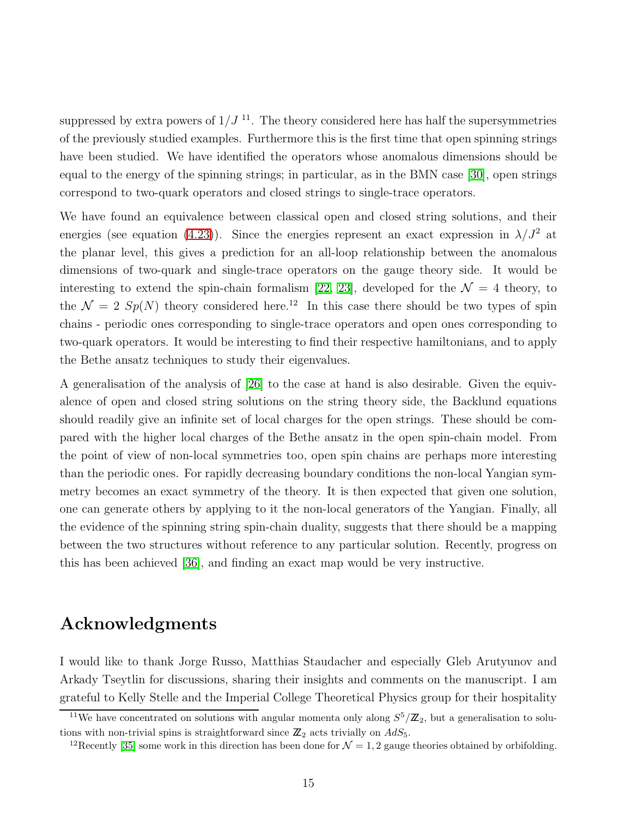suppressed by extra powers of  $1/J<sup>11</sup>$ . The theory considered here has half the supersymmetries of the previously studied examples. Furthermore this is the first time that open spinning strings have been studied. We have identified the operators whose anomalous dimensions should be equal to the energy of the spinning strings; in particular, as in the BMN case [\[30\]](#page-22-3), open strings correspond to two-quark operators and closed strings to single-trace operators.

We have found an equivalence between classical open and closed string solutions, and their energies (see equation [\(4.23\)](#page-13-0)). Since the energies represent an exact expression in  $\lambda/J^2$  at the planar level, this gives a prediction for an all-loop relationship between the anomalous dimensions of two-quark and single-trace operators on the gauge theory side. It would be interesting to extend the spin-chain formalism [\[22,](#page-21-2) [23\]](#page-21-3), developed for the  $\mathcal{N} = 4$  theory, to the  $\mathcal{N} = 2 Sp(N)$  theory considered here.<sup>12</sup> In this case there should be two types of spin chains - periodic ones corresponding to single-trace operators and open ones corresponding to two-quark operators. It would be interesting to find their respective hamiltonians, and to apply the Bethe ansatz techniques to study their eigenvalues.

A generalisation of the analysis of [\[26\]](#page-21-5) to the case at hand is also desirable. Given the equivalence of open and closed string solutions on the string theory side, the Backlund equations should readily give an infinite set of local charges for the open strings. These should be compared with the higher local charges of the Bethe ansatz in the open spin-chain model. From the point of view of non-local symmetries too, open spin chains are perhaps more interesting than the periodic ones. For rapidly decreasing boundary conditions the non-local Yangian symmetry becomes an exact symmetry of the theory. It is then expected that given one solution, one can generate others by applying to it the non-local generators of the Yangian. Finally, all the evidence of the spinning string spin-chain duality, suggests that there should be a mapping between the two structures without reference to any particular solution. Recently, progress on this has been achieved [\[36\]](#page-23-0), and finding an exact map would be very instructive.

#### Acknowledgments

I would like to thank Jorge Russo, Matthias Staudacher and especially Gleb Arutyunov and Arkady Tseytlin for discussions, sharing their insights and comments on the manuscript. I am grateful to Kelly Stelle and the Imperial College Theoretical Physics group for their hospitality

<sup>&</sup>lt;sup>11</sup>We have concentrated on solutions with angular momenta only along  $S^5/\mathbb{Z}_2$ , but a generalisation to solutions with non-trivial spins is straightforward since  $\mathbb{Z}_2$  acts trivially on  $AdS_5$ .

<sup>&</sup>lt;sup>12</sup>Recently [\[35\]](#page-22-8) some work in this direction has been done for  $\mathcal{N} = 1, 2$  gauge theories obtained by orbifolding.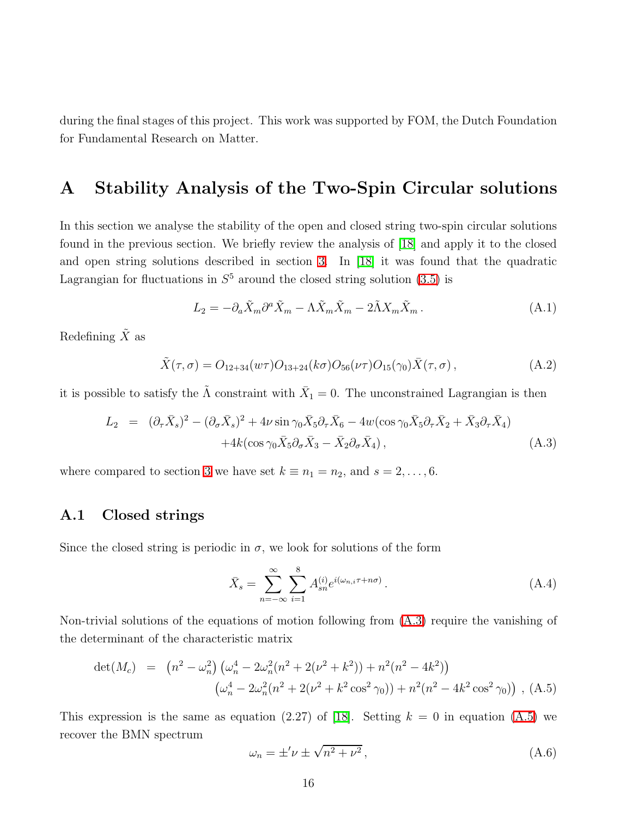<span id="page-16-0"></span>during the final stages of this project. This work was supported by FOM, the Dutch Foundation for Fundamental Research on Matter.

## A Stability Analysis of the Two-Spin Circular solutions

In this section we analyse the stability of the open and closed string two-spin circular solutions found in the previous section. We briefly review the analysis of [\[18\]](#page-20-7) and apply it to the closed and open string solutions described in section [3.](#page-6-0) In [\[18\]](#page-20-7) it was found that the quadratic Lagrangian for fluctuations in  $S^5$  around the closed string solution [\(3.5\)](#page-6-1) is

$$
L_2 = -\partial_a \tilde{X}_m \partial^a \tilde{X}_m - \Lambda \tilde{X}_m \tilde{X}_m - 2\tilde{\Lambda} X_m \tilde{X}_m.
$$
\n(A.1)

<span id="page-16-3"></span>Redefining  $\tilde{X}$  as

$$
\tilde{X}(\tau,\sigma) = O_{12+34}(w\tau)O_{13+24}(k\sigma)O_{56}(\nu\tau)O_{15}(\gamma_0)\bar{X}(\tau,\sigma), \qquad (A.2)
$$

<span id="page-16-1"></span>it is possible to satisfy the  $\tilde{\Lambda}$  constraint with  $\bar{X}_1 = 0$ . The unconstrained Lagrangian is then

$$
L_2 = (\partial_\tau \bar{X}_s)^2 - (\partial_\sigma \bar{X}_s)^2 + 4\nu \sin \gamma_0 \bar{X}_5 \partial_\tau \bar{X}_6 - 4\nu (\cos \gamma_0 \bar{X}_5 \partial_\tau \bar{X}_2 + \bar{X}_3 \partial_\tau \bar{X}_4) + 4k(\cos \gamma_0 \bar{X}_5 \partial_\sigma \bar{X}_3 - \bar{X}_2 \partial_\sigma \bar{X}_4), \tag{A.3}
$$

where compared to section [3](#page-6-0) we have set  $k \equiv n_1 = n_2$ , and  $s = 2, \ldots, 6$ .

#### A.1 Closed strings

Since the closed string is periodic in  $\sigma$ , we look for solutions of the form

$$
\bar{X}_s = \sum_{n=-\infty}^{\infty} \sum_{i=1}^8 A_{sn}^{(i)} e^{i(\omega_{n,i}\tau + n\sigma)}.
$$
\n(A.4)

<span id="page-16-2"></span>Non-trivial solutions of the equations of motion following from [\(A.3\)](#page-16-1) require the vanishing of the determinant of the characteristic matrix

$$
\det(M_c) = (n^2 - \omega_n^2) (\omega_n^4 - 2\omega_n^2(n^2 + 2(\nu^2 + k^2)) + n^2(n^2 - 4k^2))
$$
  

$$
(\omega_n^4 - 2\omega_n^2(n^2 + 2(\nu^2 + k^2\cos^2\gamma_0)) + n^2(n^2 - 4k^2\cos^2\gamma_0)) ,
$$
 (A.5)

This expression is the same as equation (2.27) of [\[18\]](#page-20-7). Setting  $k = 0$  in equation [\(A.5\)](#page-16-2) we recover the BMN spectrum

$$
\omega_n = \pm' \nu \pm \sqrt{n^2 + \nu^2} \,,\tag{A.6}
$$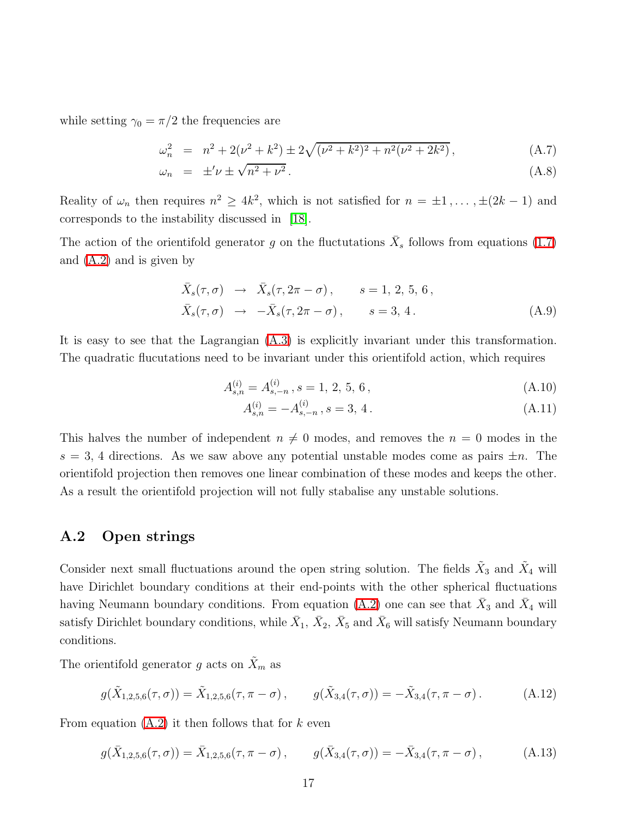while setting  $\gamma_0 = \pi/2$  the frequencies are

$$
\omega_n^2 = n^2 + 2(\nu^2 + k^2) \pm 2\sqrt{(\nu^2 + k^2)^2 + n^2(\nu^2 + 2k^2)},
$$
\n(A.7)

$$
\omega_n = \pm' \nu \pm \sqrt{n^2 + \nu^2} \,. \tag{A.8}
$$

Reality of  $\omega_n$  then requires  $n^2 \ge 4k^2$ , which is not satisfied for  $n = \pm 1, \ldots, \pm (2k-1)$  and corresponds to the instability discussed in [\[18\]](#page-20-7).

The action of the orientifold generator g on the fluctutations  $\bar{X}_s$  follows from equations [\(1.7\)](#page-3-1) and [\(A.2\)](#page-16-3) and is given by

$$
\bar{X}_s(\tau,\sigma) \rightarrow \bar{X}_s(\tau,2\pi-\sigma), \qquad s=1,2,5,6,
$$
  
\n
$$
\bar{X}_s(\tau,\sigma) \rightarrow -\bar{X}_s(\tau,2\pi-\sigma), \qquad s=3,4.
$$
\n(A.9)

It is easy to see that the Lagrangian [\(A.3\)](#page-16-1) is explicitly invariant under this transformation. The quadratic flucutations need to be invariant under this orientifold action, which requires

$$
A_{s,n}^{(i)} = A_{s,-n}^{(i)}, s = 1, 2, 5, 6,
$$
\n(A.10)

$$
A_{s,n}^{(i)} = -A_{s,-n}^{(i)}, s = 3, 4.
$$
\n(A.11)

This halves the number of independent  $n \neq 0$  modes, and removes the  $n = 0$  modes in the  $s = 3, 4$  directions. As we saw above any potential unstable modes come as pairs  $\pm n$ . The orientifold projection then removes one linear combination of these modes and keeps the other. As a result the orientifold projection will not fully stabalise any unstable solutions.

#### A.2 Open strings

Consider next small fluctuations around the open string solution. The fields  $\tilde{X}_3$  and  $\tilde{X}_4$  will have Dirichlet boundary conditions at their end-points with the other spherical fluctuations having Neumann boundary conditions. From equation [\(A.2\)](#page-16-3) one can see that  $\bar{X}_3$  and  $\bar{X}_4$  will satisfy Dirichlet boundary conditions, while  $\bar{X}_1,~\bar{X}_2,~\bar{X}_5$  and  $\bar{X}_6$  will satisfy Neumann boundary conditions.

The orientifold generator g acts on  $\tilde{X}_m$  as

$$
g(\tilde{X}_{1,2,5,6}(\tau,\sigma)) = \tilde{X}_{1,2,5,6}(\tau,\pi-\sigma), \qquad g(\tilde{X}_{3,4}(\tau,\sigma)) = -\tilde{X}_{3,4}(\tau,\pi-\sigma). \tag{A.12}
$$

From equation  $(A.2)$  it then follows that for k even

$$
g(\bar{X}_{1,2,5,6}(\tau,\sigma)) = \bar{X}_{1,2,5,6}(\tau,\pi-\sigma), \qquad g(\bar{X}_{3,4}(\tau,\sigma)) = -\bar{X}_{3,4}(\tau,\pi-\sigma), \qquad (A.13)
$$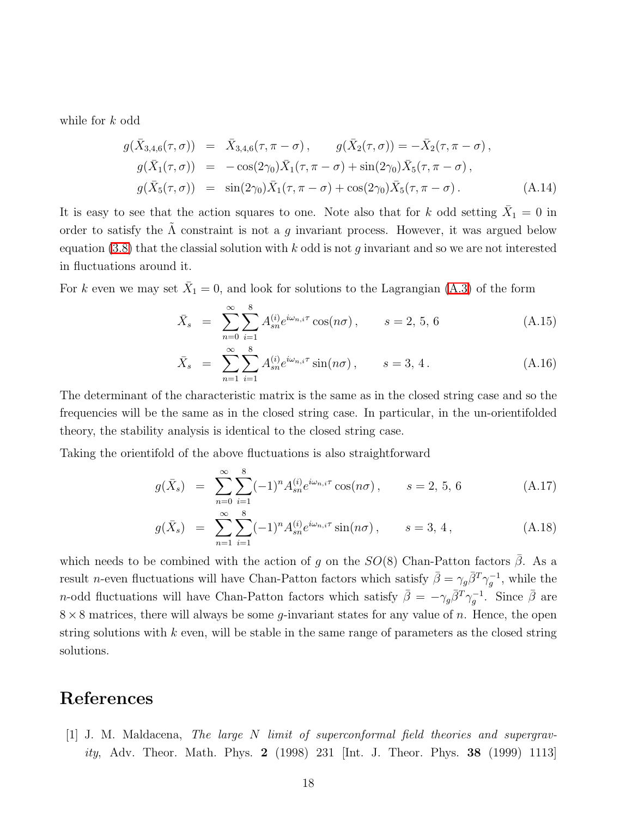while for  $k$  odd

$$
g(\bar{X}_{3,4,6}(\tau,\sigma)) = \bar{X}_{3,4,6}(\tau,\pi-\sigma), \qquad g(\bar{X}_2(\tau,\sigma)) = -\bar{X}_2(\tau,\pi-\sigma),
$$
  
\n
$$
g(\bar{X}_1(\tau,\sigma)) = -\cos(2\gamma_0)\bar{X}_1(\tau,\pi-\sigma) + \sin(2\gamma_0)\bar{X}_5(\tau,\pi-\sigma),
$$
  
\n
$$
g(\bar{X}_5(\tau,\sigma)) = \sin(2\gamma_0)\bar{X}_1(\tau,\pi-\sigma) + \cos(2\gamma_0)\bar{X}_5(\tau,\pi-\sigma).
$$
\n(A.14)

It is easy to see that the action squares to one. Note also that for k odd setting  $\bar{X}_1 = 0$  in order to satisfy the  $\Lambda$  constraint is not a g invariant process. However, it was argued below equation [\(3.8\)](#page-7-2) that the classial solution with k odd is not q invariant and so we are not interested in fluctuations around it.

For k even we may set  $\bar{X}_1 = 0$ , and look for solutions to the Lagrangian [\(A.3\)](#page-16-1) of the form

$$
\bar{X}_s = \sum_{n=0}^{\infty} \sum_{i=1}^8 A_{sn}^{(i)} e^{i\omega_{n,i}\tau} \cos(n\sigma), \qquad s = 2, 5, 6 \tag{A.15}
$$

$$
\bar{X}_s = \sum_{n=1}^{\infty} \sum_{i=1}^8 A_{sn}^{(i)} e^{i\omega_{n,i}\tau} \sin(n\sigma), \qquad s = 3, 4.
$$
 (A.16)

The determinant of the characteristic matrix is the same as in the closed string case and so the frequencies will be the same as in the closed string case. In particular, in the un-orientifolded theory, the stability analysis is identical to the closed string case.

Taking the orientifold of the above fluctuations is also straightforward

$$
g(\bar{X}_s) = \sum_{n=0}^{\infty} \sum_{i=1}^{8} (-1)^n A_{sn}^{(i)} e^{i\omega_{n,i}\tau} \cos(n\sigma), \qquad s = 2, 5, 6 \qquad (A.17)
$$

$$
g(\bar{X}_s) = \sum_{n=1}^{\infty} \sum_{i=1}^{8} (-1)^n A_{sn}^{(i)} e^{i\omega_{n,i}\tau} \sin(n\sigma), \qquad s = 3, 4,
$$
 (A.18)

which needs to be combined with the action of g on the  $SO(8)$  Chan-Patton factors  $\overline{\beta}$ . As a result n-even fluctuations will have Chan-Patton factors which satisfy  $\bar{\beta} = \gamma_g \bar{\beta}^T \gamma_g^{-1}$ , while the *n*-odd fluctuations will have Chan-Patton factors which satisfy  $\bar{\beta} = -\gamma_g \bar{\beta}^T \gamma_g^{-1}$ . Since  $\bar{\beta}$  are  $8 \times 8$  matrices, there will always be some g-invariant states for any value of n. Hence, the open string solutions with  $k$  even, will be stable in the same range of parameters as the closed string solutions.

#### <span id="page-18-0"></span>References

[1] J. M. Maldacena, *The large* N *limit of superconformal field theories and supergravity*, Adv. Theor. Math. Phys. 2 (1998) 231 [Int. J. Theor. Phys. 38 (1999) 1113]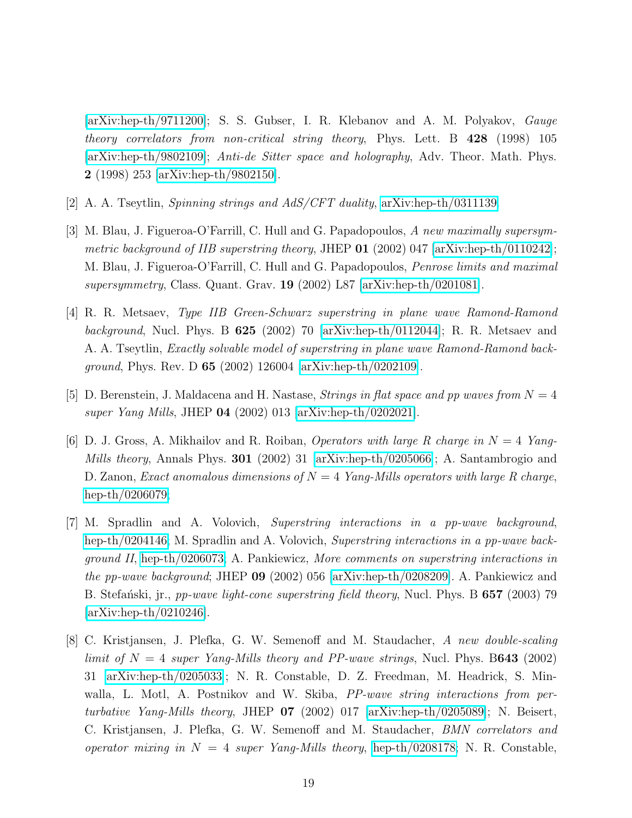[\[arXiv:hep-th/9711200\]](http://arXiv.org/abs/hep-th/9711200); S. S. Gubser, I. R. Klebanov and A. M. Polyakov, *Gauge theory correlators from non-critical string theory*, Phys. Lett. B 428 (1998) 105 [\[arXiv:hep-th/9802109\]](http://arXiv.org/abs/hep-th/9802109); *Anti-de Sitter space and holography*, Adv. Theor. Math. Phys. 2 (1998) 253 [\[arXiv:hep-th/9802150\]](http://arXiv.org/abs/hep-th/9802150).

- <span id="page-19-6"></span><span id="page-19-0"></span>[2] A. A. Tseytlin, *Spinning strings and AdS/CFT duality*, [arXiv:hep-th/0311139.](http://arXiv.org/abs/hep-th/0311139)
- [3] M. Blau, J. Figueroa-O'Farrill, C. Hull and G. Papadopoulos, *A new maximally supersymmetric background of IIB superstring theory*, JHEP 01 (2002) 047 [\[arXiv:hep-th/0110242\]](http://arXiv.org/abs/hep-th/0110242); M. Blau, J. Figueroa-O'Farrill, C. Hull and G. Papadopoulos, *Penrose limits and maximal supersymmetry*, Class. Quant. Grav. 19 (2002) L87 [\[arXiv:hep-th/0201081\]](http://arXiv.org/abs/hep-th/0201081).
- <span id="page-19-1"></span>[4] R. R. Metsaev, *Type IIB Green-Schwarz superstring in plane wave Ramond-Ramond background*, Nucl. Phys. B 625 (2002) 70 [\[arXiv:hep-th/0112044\]](http://arXiv.org/abs/hep-th/0112044); R. R. Metsaev and A. A. Tseytlin, *Exactly solvable model of superstring in plane wave Ramond-Ramond background*, Phys. Rev. D 65 (2002) 126004 [\[arXiv:hep-th/0202109\]](http://arXiv.org/abs/hep-th/0202109).
- <span id="page-19-3"></span><span id="page-19-2"></span>[5] D. Berenstein, J. Maldacena and H. Nastase, *Strings in flat space and pp waves from* N = 4 *super Yang Mills*, JHEP 04 (2002) 013 [\[arXiv:hep-th/0202021\]](http://arXiv.org/abs/hep-th/0202021).
- [6] D. J. Gross, A. Mikhailov and R. Roiban, *Operators with large R charge in* N = 4 *Yang-Mills theory*, Annals Phys. 301 (2002) 31 [\[arXiv:hep-th/0205066\]](http://arXiv.org/abs/hep-th/0205066); A. Santambrogio and D. Zanon, *Exact anomalous dimensions of* N = 4 *Yang-Mills operators with large R charge*, [hep-th/0206079;](http://arXiv.org/abs/hep-th/0206079)
- <span id="page-19-4"></span>[7] M. Spradlin and A. Volovich, *Superstring interactions in a pp-wave background*, [hep-th/0204146;](http://arXiv.org/abs/hep-th/0204146) M. Spradlin and A. Volovich, *Superstring interactions in a pp-wave background II*, [hep-th/0206073;](http://arXiv.org/abs/hep-th/0206073) A. Pankiewicz, *More comments on superstring interactions in the pp-wave background*; JHEP 09 (2002) 056 [\[arXiv:hep-th/0208209\]](http://arXiv.org/abs/hep-th/0208209). A. Pankiewicz and B. Stefa´nski, jr., *pp-wave light-cone superstring field theory*, Nucl. Phys. B 657 (2003) 79 [\[arXiv:hep-th/0210246\]](http://arXiv.org/abs/hep-th/0210246).
- <span id="page-19-5"></span>[8] C. Kristjansen, J. Plefka, G. W. Semenoff and M. Staudacher, *A new double-scaling limit of*  $N = 4$  *super Yang-Mills theory and PP-wave strings*, Nucl. Phys. B643 (2002) 31 [\[arXiv:hep-th/0205033\]](http://arXiv.org/abs/hep-th/0205033); N. R. Constable, D. Z. Freedman, M. Headrick, S. Minwalla, L. Motl, A. Postnikov and W. Skiba, *PP-wave string interactions from perturbative Yang-Mills theory*, JHEP 07 (2002) 017 [\[arXiv:hep-th/0205089\]](http://arXiv.org/abs/hep-th/0205089); N. Beisert, C. Kristjansen, J. Plefka, G. W. Semenoff and M. Staudacher, *BMN correlators and operator mixing in* N = 4 *super Yang-Mills theory*, [hep-th/0208178;](http://arXiv.org/abs/hep-th/0208178) N. R. Constable,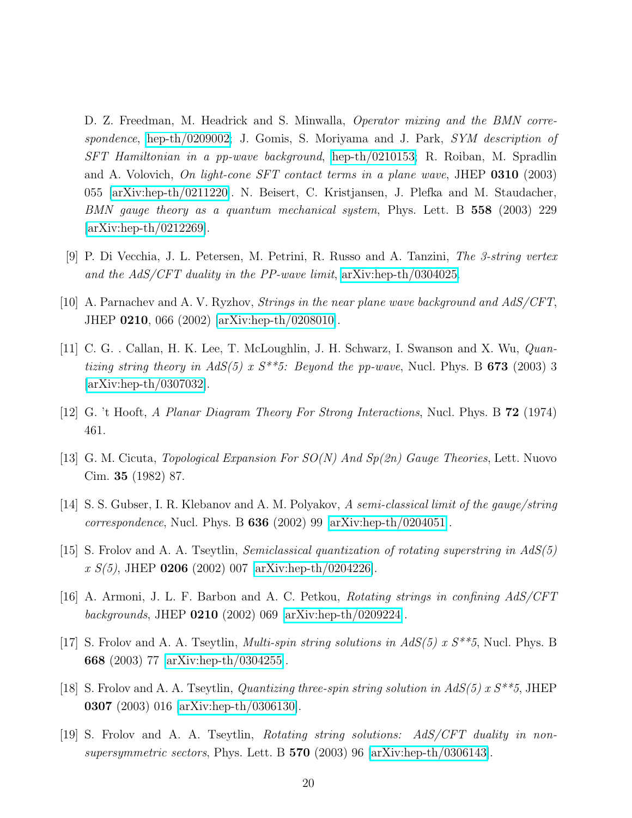D. Z. Freedman, M. Headrick and S. Minwalla, *Operator mixing and the BMN correspondence*, [hep-th/0209002;](http://arXiv.org/abs/hep-th/0209002) J. Gomis, S. Moriyama and J. Park, *SYM description of SFT Hamiltonian in a pp-wave background*, [hep-th/0210153;](http://arXiv.org/abs/hep-th/0210153) R. Roiban, M. Spradlin and A. Volovich, *On light-cone SFT contact terms in a plane wave*, JHEP 0310 (2003) 055 [\[arXiv:hep-th/0211220\]](http://arXiv.org/abs/hep-th/0211220). N. Beisert, C. Kristjansen, J. Plefka and M. Staudacher, *BMN gauge theory as a quantum mechanical system*, Phys. Lett. B 558 (2003) 229 [\[arXiv:hep-th/0212269\]](http://arXiv.org/abs/hep-th/0212269).

- <span id="page-20-9"></span>[9] P. Di Vecchia, J. L. Petersen, M. Petrini, R. Russo and A. Tanzini, *The 3-string vertex and the AdS/CFT duality in the PP-wave limit*, [arXiv:hep-th/0304025.](http://arXiv.org/abs/hep-th/0304025)
- <span id="page-20-3"></span><span id="page-20-2"></span>[10] A. Parnachev and A. V. Ryzhov, *Strings in the near plane wave background and AdS/CFT*, JHEP 0210, 066 (2002) [\[arXiv:hep-th/0208010\]](http://arXiv.org/abs/hep-th/0208010).
- [11] C. G. . Callan, H. K. Lee, T. McLoughlin, J. H. Schwarz, I. Swanson and X. Wu, *Quantizing string theory in AdS(5) x S\*\*5: Beyond the pp-wave*, Nucl. Phys. B **673** (2003) 3 [\[arXiv:hep-th/0307032\]](http://arXiv.org/abs/hep-th/0307032).
- <span id="page-20-10"></span><span id="page-20-4"></span>[12] G. 't Hooft, *A Planar Diagram Theory For Strong Interactions*, Nucl. Phys. B 72 (1974) 461.
- <span id="page-20-0"></span>[13] G. M. Cicuta, *Topological Expansion For SO(N) And Sp(2n) Gauge Theories*, Lett. Nuovo Cim. 35 (1982) 87.
- <span id="page-20-1"></span>[14] S. S. Gubser, I. R. Klebanov and A. M. Polyakov, *A semi-classical limit of the gauge/string correspondence*, Nucl. Phys. B 636 (2002) 99 [\[arXiv:hep-th/0204051\]](http://arXiv.org/abs/hep-th/0204051).
- <span id="page-20-5"></span>[15] S. Frolov and A. A. Tseytlin, *Semiclassical quantization of rotating superstring in AdS(5) x S(5)*, JHEP 0206 (2002) 007 [\[arXiv:hep-th/0204226\]](http://arXiv.org/abs/hep-th/0204226).
- <span id="page-20-6"></span>[16] A. Armoni, J. L. F. Barbon and A. C. Petkou, *Rotating strings in confining AdS/CFT backgrounds*, JHEP 0210 (2002) 069 [\[arXiv:hep-th/0209224\]](http://arXiv.org/abs/hep-th/0209224).
- <span id="page-20-7"></span>[17] S. Frolov and A. A. Tseytlin, *Multi-spin string solutions in AdS(5) x S\*\*5*, Nucl. Phys. B 668 (2003) 77 [\[arXiv:hep-th/0304255\]](http://arXiv.org/abs/hep-th/0304255).
- <span id="page-20-8"></span>[18] S. Frolov and A. A. Tseytlin, *Quantizing three-spin string solution in AdS(5) x S\*\*5*, JHEP 0307 (2003) 016 [\[arXiv:hep-th/0306130\]](http://arXiv.org/abs/hep-th/0306130).
- [19] S. Frolov and A. A. Tseytlin, *Rotating string solutions: AdS/CFT duality in nonsupersymmetric sectors*, Phys. Lett. B 570 (2003) 96 [\[arXiv:hep-th/0306143\]](http://arXiv.org/abs/hep-th/0306143).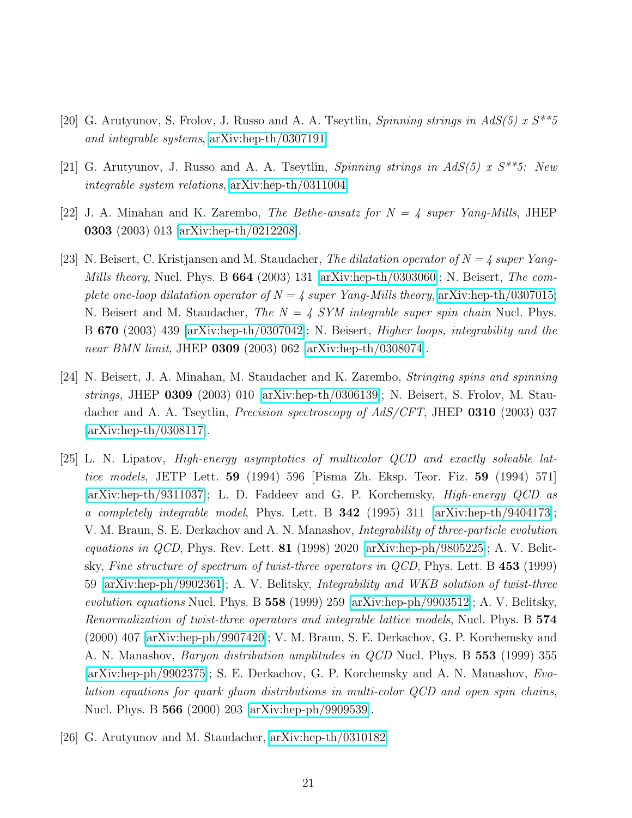- <span id="page-21-1"></span><span id="page-21-0"></span>[20] G. Arutyunov, S. Frolov, J. Russo and A. A. Tseytlin, *Spinning strings in AdS(5) x S\*\*5 and integrable systems*, [arXiv:hep-th/0307191.](http://arXiv.org/abs/hep-th/0307191)
- <span id="page-21-2"></span>[21] G. Arutyunov, J. Russo and A. A. Tseytlin, *Spinning strings in AdS(5) x S\*\*5: New integrable system relations*, [arXiv:hep-th/0311004.](http://arXiv.org/abs/hep-th/0311004)
- <span id="page-21-3"></span>[22] J. A. Minahan and K. Zarembo, *The Bethe-ansatz for N = 4 super Yang-Mills*, JHEP 0303 (2003) 013 [\[arXiv:hep-th/0212208\]](http://arXiv.org/abs/hep-th/0212208).
- [23] N. Beisert, C. Kristjansen and M. Staudacher, *The dilatation operator of N = 4 super Yang-Mills theory*, Nucl. Phys. B 664 (2003) 131 [\[arXiv:hep-th/0303060\]](http://arXiv.org/abs/hep-th/0303060); N. Beisert, *The complete one-loop dilatation operator of*  $N = 4$  *super Yang-Mills theory*, [arXiv:hep-th/0307015;](http://arXiv.org/abs/hep-th/0307015) N. Beisert and M. Staudacher, *The N = 4 SYM integrable super spin chain* Nucl. Phys. B 670 (2003) 439 [\[arXiv:hep-th/0307042\]](http://arXiv.org/abs/hep-th/0307042); N. Beisert, *Higher loops, integrability and the near BMN limit*, JHEP 0309 (2003) 062 [\[arXiv:hep-th/0308074\]](http://arXiv.org/abs/hep-th/0308074).
- <span id="page-21-4"></span>[24] N. Beisert, J. A. Minahan, M. Staudacher and K. Zarembo, *Stringing spins and spinning strings*, JHEP 0309 (2003) 010 [\[arXiv:hep-th/0306139\]](http://arXiv.org/abs/hep-th/0306139); N. Beisert, S. Frolov, M. Staudacher and A. A. Tseytlin, *Precision spectroscopy of AdS/CFT*, JHEP 0310 (2003) 037 [\[arXiv:hep-th/0308117\]](http://arXiv.org/abs/hep-th/0308117).
- <span id="page-21-6"></span>[25] L. N. Lipatov, *High-energy asymptotics of multicolor QCD and exactly solvable lattice models*, JETP Lett. 59 (1994) 596 [Pisma Zh. Eksp. Teor. Fiz. 59 (1994) 571] [\[arXiv:hep-th/9311037\]](http://arXiv.org/abs/hep-th/9311037); L. D. Faddeev and G. P. Korchemsky, *High-energy QCD as a completely integrable model*, Phys. Lett. B 342 (1995) 311 [\[arXiv:hep-th/9404173\]](http://arXiv.org/abs/hep-th/9404173); V. M. Braun, S. E. Derkachov and A. N. Manashov, *Integrability of three-particle evolution equations in QCD*, Phys. Rev. Lett. 81 (1998) 2020 [\[arXiv:hep-ph/9805225\]](http://arXiv.org/abs/hep-ph/9805225); A. V. Belitsky, *Fine structure of spectrum of twist-three operators in QCD*, Phys. Lett. B 453 (1999) 59 [\[arXiv:hep-ph/9902361\]](http://arXiv.org/abs/hep-ph/9902361); A. V. Belitsky, *Integrability and WKB solution of twist-three evolution equations* Nucl. Phys. B 558 (1999) 259 [\[arXiv:hep-ph/9903512\]](http://arXiv.org/abs/hep-ph/9903512); A. V. Belitsky, *Renormalization of twist-three operators and integrable lattice models*, Nucl. Phys. B 574 (2000) 407 [\[arXiv:hep-ph/9907420\]](http://arXiv.org/abs/hep-ph/9907420); V. M. Braun, S. E. Derkachov, G. P. Korchemsky and A. N. Manashov, *Baryon distribution amplitudes in QCD* Nucl. Phys. B 553 (1999) 355 [\[arXiv:hep-ph/9902375\]](http://arXiv.org/abs/hep-ph/9902375); S. E. Derkachov, G. P. Korchemsky and A. N. Manashov, *Evolution equations for quark gluon distributions in multi-color QCD and open spin chains*, Nucl. Phys. B 566 (2000) 203 [\[arXiv:hep-ph/9909539\]](http://arXiv.org/abs/hep-ph/9909539).
- <span id="page-21-5"></span>[26] G. Arutyunov and M. Staudacher, [arXiv:hep-th/0310182.](http://arXiv.org/abs/hep-th/0310182)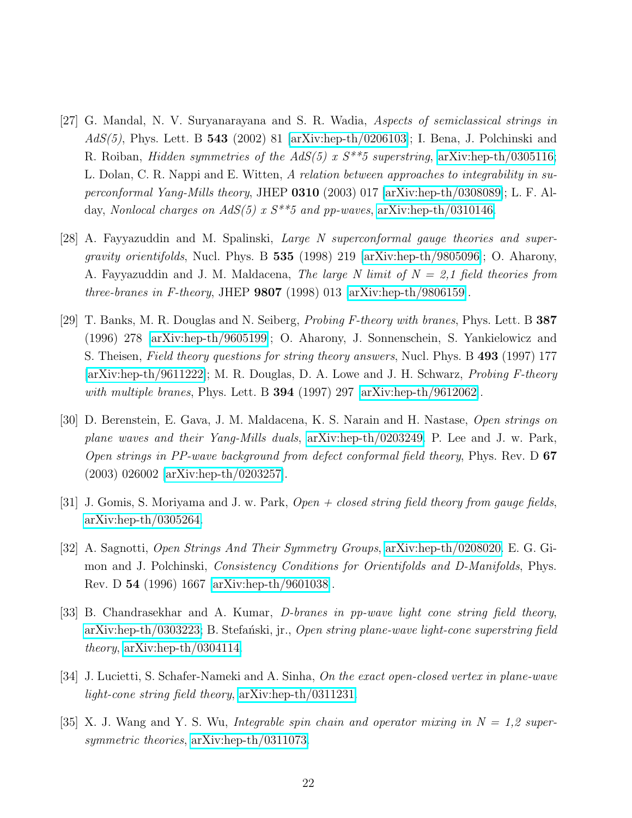- <span id="page-22-0"></span>[27] G. Mandal, N. V. Suryanarayana and S. R. Wadia, *Aspects of semiclassical strings in AdS(5)*, Phys. Lett. B 543 (2002) 81 [\[arXiv:hep-th/0206103\]](http://arXiv.org/abs/hep-th/0206103); I. Bena, J. Polchinski and R. Roiban, *Hidden symmetries of the AdS(5) x S\*\*5 superstring*, [arXiv:hep-th/0305116;](http://arXiv.org/abs/hep-th/0305116) L. Dolan, C. R. Nappi and E. Witten, *A relation between approaches to integrability in superconformal Yang-Mills theory*, JHEP 0310 (2003) 017 [\[arXiv:hep-th/0308089\]](http://arXiv.org/abs/hep-th/0308089); L. F. Alday, *Nonlocal charges on AdS(5) x S\*\*5 and pp-waves*, [arXiv:hep-th/0310146.](http://arXiv.org/abs/hep-th/0310146)
- <span id="page-22-1"></span>[28] A. Fayyazuddin and M. Spalinski, *Large N superconformal gauge theories and supergravity orientifolds*, Nucl. Phys. B 535 (1998) 219 [\[arXiv:hep-th/9805096\]](http://arXiv.org/abs/hep-th/9805096); O. Aharony, A. Fayyazuddin and J. M. Maldacena, *The large N limit of N = 2,1 field theories from three-branes in F-theory*, JHEP 9807 (1998) 013 [\[arXiv:hep-th/9806159\]](http://arXiv.org/abs/hep-th/9806159).
- <span id="page-22-2"></span>[29] T. Banks, M. R. Douglas and N. Seiberg, *Probing F-theory with branes*, Phys. Lett. B 387 (1996) 278 [\[arXiv:hep-th/9605199\]](http://arXiv.org/abs/hep-th/9605199); O. Aharony, J. Sonnenschein, S. Yankielowicz and S. Theisen, *Field theory questions for string theory answers*, Nucl. Phys. B 493 (1997) 177 [\[arXiv:hep-th/9611222\]](http://arXiv.org/abs/hep-th/9611222); M. R. Douglas, D. A. Lowe and J. H. Schwarz, *Probing F-theory with multiple branes*, Phys. Lett. B 394 (1997) 297 [\[arXiv:hep-th/9612062\]](http://arXiv.org/abs/hep-th/9612062).
- <span id="page-22-3"></span>[30] D. Berenstein, E. Gava, J. M. Maldacena, K. S. Narain and H. Nastase, *Open strings on plane waves and their Yang-Mills duals*, [arXiv:hep-th/0203249.](http://arXiv.org/abs/hep-th/0203249) P. Lee and J. w. Park, *Open strings in PP-wave background from defect conformal field theory*, Phys. Rev. D 67 (2003) 026002 [\[arXiv:hep-th/0203257\]](http://arXiv.org/abs/hep-th/0203257).
- <span id="page-22-5"></span><span id="page-22-4"></span>[31] J. Gomis, S. Moriyama and J. w. Park, *Open + closed string field theory from gauge fields*, [arXiv:hep-th/0305264.](http://arXiv.org/abs/hep-th/0305264)
- [32] A. Sagnotti, *Open Strings And Their Symmetry Groups*, [arXiv:hep-th/0208020.](http://arXiv.org/abs/hep-th/0208020) E. G. Gimon and J. Polchinski, *Consistency Conditions for Orientifolds and D-Manifolds*, Phys. Rev. D 54 (1996) 1667 [\[arXiv:hep-th/9601038\]](http://arXiv.org/abs/hep-th/9601038).
- <span id="page-22-6"></span>[33] B. Chandrasekhar and A. Kumar, *D-branes in pp-wave light cone string field theory*, [arXiv:hep-th/0303223;](http://arXiv.org/abs/hep-th/0303223) B. Stefa´nski, jr., *Open string plane-wave light-cone superstring field theory*, [arXiv:hep-th/0304114.](http://arXiv.org/abs/hep-th/0304114)
- <span id="page-22-8"></span><span id="page-22-7"></span>[34] J. Lucietti, S. Schafer-Nameki and A. Sinha, *On the exact open-closed vertex in plane-wave light-cone string field theory*, [arXiv:hep-th/0311231.](http://arXiv.org/abs/hep-th/0311231)
- [35] X. J. Wang and Y. S. Wu, *Integrable spin chain and operator mixing in N = 1,2 supersymmetric theories*, [arXiv:hep-th/0311073.](http://arXiv.org/abs/hep-th/0311073)